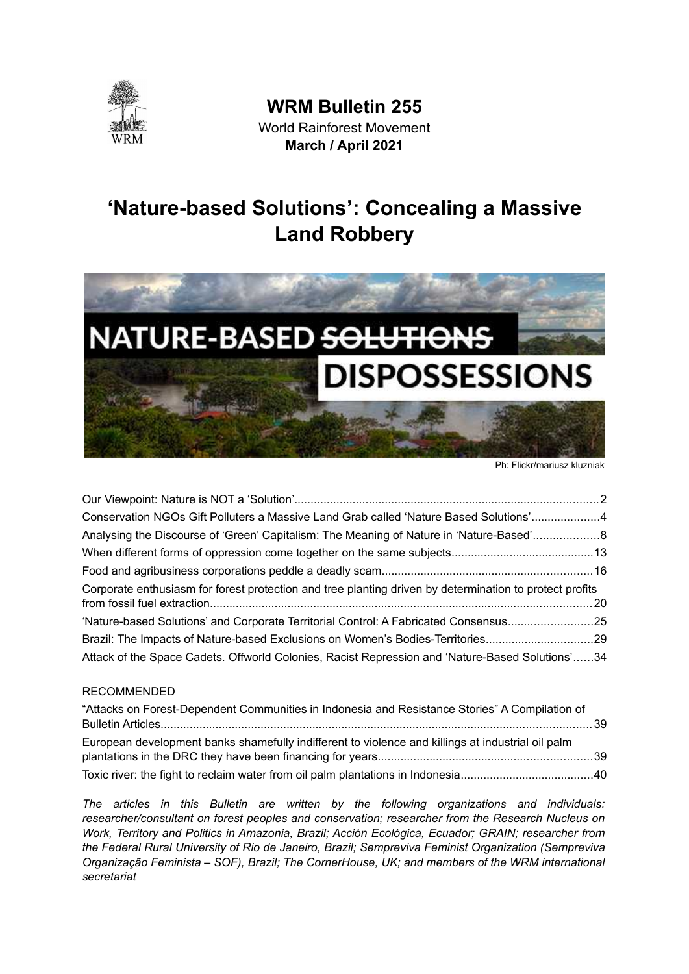

**WRM Bulletin 255** World Rainforest Movement **March / April 2021** 

# **'Nature-based Solutions': Concealing a Massive Land Robbery**



Ph: Flickr/mariusz kluzniak

| Conservation NGOs Gift Polluters a Massive Land Grab called 'Nature Based Solutions'4                   |  |
|---------------------------------------------------------------------------------------------------------|--|
| Analysing the Discourse of 'Green' Capitalism: The Meaning of Nature in 'Nature-Based'8                 |  |
|                                                                                                         |  |
|                                                                                                         |  |
| Corporate enthusiasm for forest protection and tree planting driven by determination to protect profits |  |
|                                                                                                         |  |
|                                                                                                         |  |
| Brazil: The Impacts of Nature-based Exclusions on Women's Bodies-Territories29                          |  |
| Attack of the Space Cadets. Offworld Colonies, Racist Repression and 'Nature-Based Solutions'34         |  |
|                                                                                                         |  |

#### [RECOMMENDED](#page-38-2)

| "Attacks on Forest-Dependent Communities in Indonesia and Resistance Stories" A Compilation of    |  |
|---------------------------------------------------------------------------------------------------|--|
|                                                                                                   |  |
| European development banks shamefully indifferent to violence and killings at industrial oil palm |  |
|                                                                                                   |  |
|                                                                                                   |  |

*The articles in this Bulletin are written by the following organizations and individuals: researcher/consultant on forest peoples and conservation; researcher from the Research Nucleus on Work, Territory and Politics in Amazonia, Brazil; Acción Ecológica, Ecuador; GRAIN; researcher from the Federal Rural University of Rio de Janeiro, Brazil; Sempreviva Feminist Organization (Sempreviva Organização Feminista – SOF), Brazil; The CornerHouse, UK; and members of the WRM international secretariat*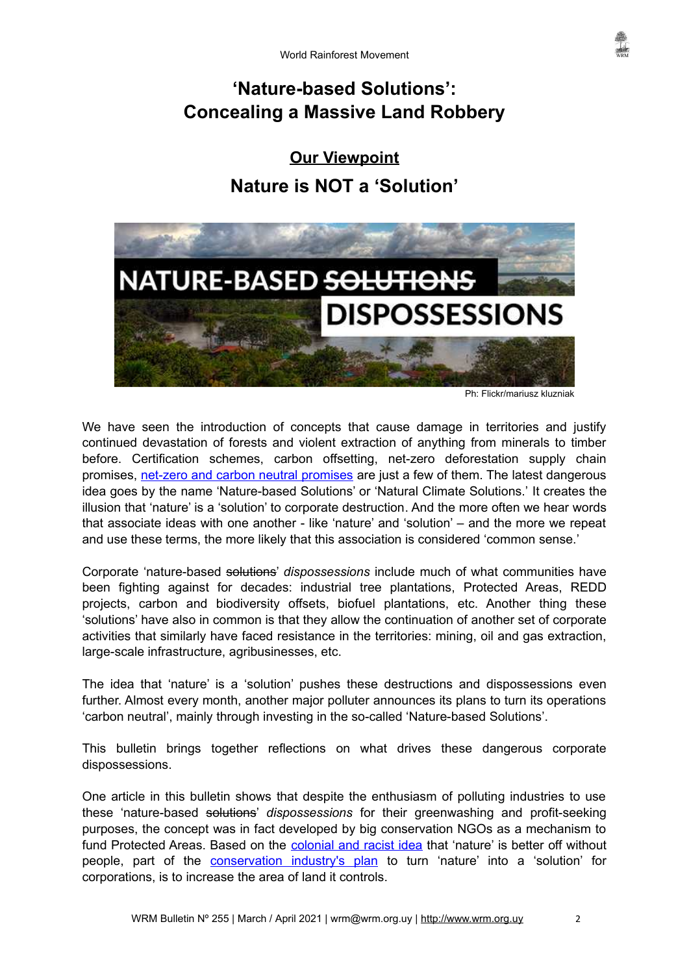# **'Nature-based Solutions': Concealing a Massive Land Robbery**

<span id="page-1-1"></span><span id="page-1-0"></span>**Our Viewpoint Nature is NOT a 'Solution'**



Ph: Flickr/mariusz kluzniak

We have seen the introduction of concepts that cause damage in territories and justify continued devastation of forests and violent extraction of anything from minerals to timber before. Certification schemes, carbon offsetting, net-zero deforestation supply chain promises, [net-zero and carbon neutral promises](https://wrm.org.uy/articles-from-the-wrm-bulletin/viewpoint/offsets-feeding-the-illusion-of-a-sustainable-green-carbon-neutral-nature-based-net-zero-emissions-capitalism/) are just a few of them. The latest dangerous idea goes by the name 'Nature-based Solutions' or 'Natural Climate Solutions.' It creates the illusion that 'nature' is a 'solution' to corporate destruction. And the more often we hear words that associate ideas with one another - like 'nature' and 'solution' – and the more we repeat and use these terms, the more likely that this association is considered 'common sense.'

Corporate 'nature-based solutions' *dispossessions* include much of what communities have been fighting against for decades: industrial tree plantations, Protected Areas, REDD projects, carbon and biodiversity offsets, biofuel plantations, etc. Another thing these 'solutions' have also in common is that they allow the continuation of another set of corporate activities that similarly have faced resistance in the territories: mining, oil and gas extraction, large-scale infrastructure, agribusinesses, etc.

The idea that 'nature' is a 'solution' pushes these destructions and dispossessions even further. Almost every month, another major polluter announces its plans to turn its operations 'carbon neutral', mainly through investing in the so-called 'Nature-based Solutions'.

This bulletin brings together reflections on what drives these dangerous corporate dispossessions.

One article in this bulletin shows that despite the enthusiasm of polluting industries to use these 'nature-based solutions' *dispossessions* for their greenwashing and profit-seeking purposes, the concept was in fact developed by big conservation NGOs as a mechanism to fund Protected Areas. Based on the [colonial and racist idea](https://wrm.org.uy/bulletins/issue-249/) that 'nature' is better off without people, part of the **conservation industry's plan** to turn 'nature' into a 'solution' for corporations, is to increase the area of land it controls.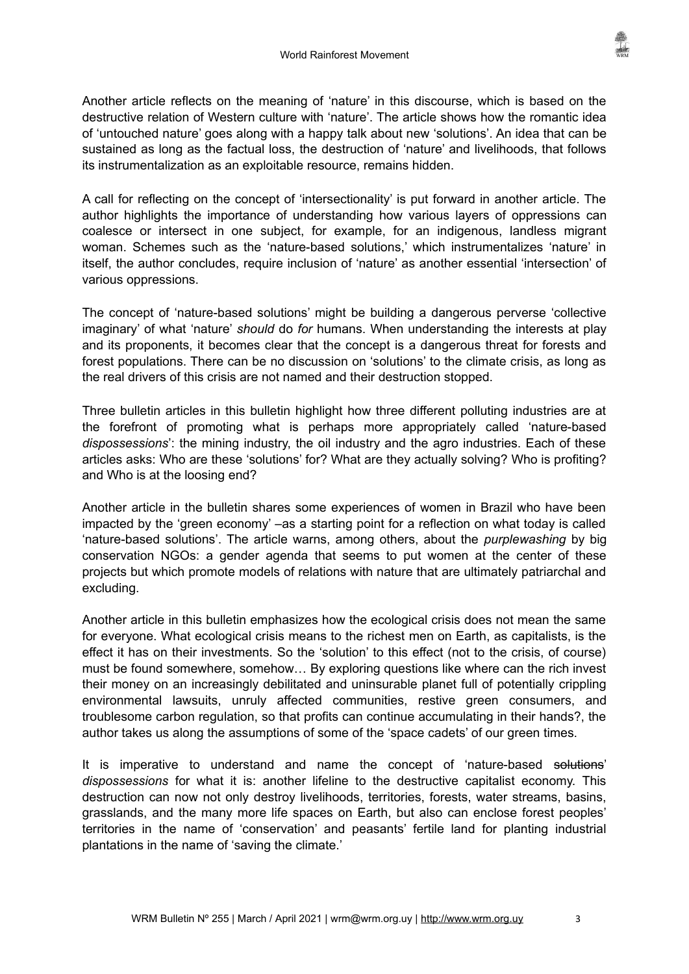Another article reflects on the meaning of 'nature' in this discourse, which is based on the destructive relation of Western culture with 'nature'. The article shows how the romantic idea of 'untouched nature' goes along with a happy talk about new 'solutions'. An idea that can be sustained as long as the factual loss, the destruction of 'nature' and livelihoods, that follows its instrumentalization as an exploitable resource, remains hidden.

A call for reflecting on the concept of 'intersectionality' is put forward in another article. The author highlights the importance of understanding how various layers of oppressions can coalesce or intersect in one subject, for example, for an indigenous, landless migrant woman. Schemes such as the 'nature-based solutions,' which instrumentalizes 'nature' in itself, the author concludes, require inclusion of 'nature' as another essential 'intersection' of various oppressions.

The concept of 'nature-based solutions' might be building a dangerous perverse 'collective imaginary' of what 'nature' *should* do *for* humans. When understanding the interests at play and its proponents, it becomes clear that the concept is a dangerous threat for forests and forest populations. There can be no discussion on 'solutions' to the climate crisis, as long as the real drivers of this crisis are not named and their destruction stopped.

Three bulletin articles in this bulletin highlight how three different polluting industries are at the forefront of promoting what is perhaps more appropriately called 'nature-based *dispossessions*': the mining industry, the oil industry and the agro industries. Each of these articles asks: Who are these 'solutions' for? What are they actually solving? Who is profiting? and Who is at the loosing end?

Another article in the bulletin shares some experiences of women in Brazil who have been impacted by the 'green economy' –as a starting point for a reflection on what today is called 'nature-based solutions'. The article warns, among others, about the *purplewashing* by big conservation NGOs: a gender agenda that seems to put women at the center of these projects but which promote models of relations with nature that are ultimately patriarchal and excluding.

Another article in this bulletin emphasizes how the ecological crisis does not mean the same for everyone. What ecological crisis means to the richest men on Earth, as capitalists, is the effect it has on their investments. So the 'solution' to this effect (not to the crisis, of course) must be found somewhere, somehow… By exploring questions like where can the rich invest their money on an increasingly debilitated and uninsurable planet full of potentially crippling environmental lawsuits, unruly affected communities, restive green consumers, and troublesome carbon regulation, so that profits can continue accumulating in their hands?, the author takes us along the assumptions of some of the 'space cadets' of our green times.

It is imperative to understand and name the concept of 'nature-based solutions' *dispossessions* for what it is: another lifeline to the destructive capitalist economy. This destruction can now not only destroy livelihoods, territories, forests, water streams, basins, grasslands, and the many more life spaces on Earth, but also can enclose forest peoples' territories in the name of 'conservation' and peasants' fertile land for planting industrial plantations in the name of 'saving the climate.'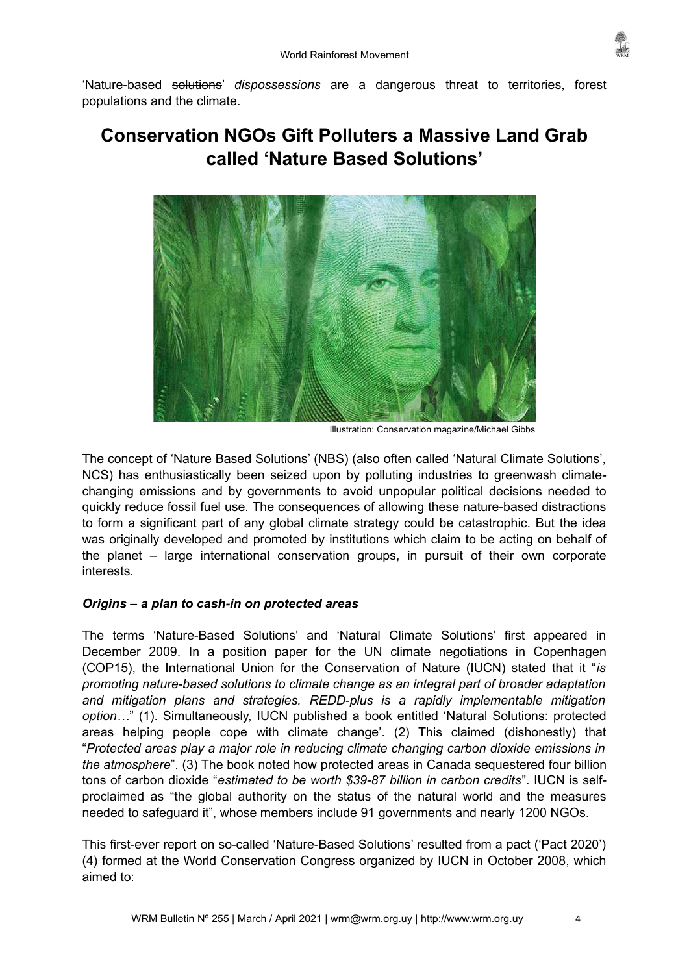

'Nature-based solutions' *dispossessions* are a dangerous threat to territories, forest populations and the climate.

# <span id="page-3-0"></span>**Conservation NGOs Gift Polluters a Massive Land Grab called 'Nature Based Solutions'**



Illustration: Conservation magazine/Michael Gibbs

The concept of 'Nature Based Solutions' (NBS) (also often called 'Natural Climate Solutions', NCS) has enthusiastically been seized upon by polluting industries to greenwash climatechanging emissions and by governments to avoid unpopular political decisions needed to quickly reduce fossil fuel use. The consequences of allowing these nature-based distractions to form a significant part of any global climate strategy could be catastrophic. But the idea was originally developed and promoted by institutions which claim to be acting on behalf of the planet – large international conservation groups, in pursuit of their own corporate interests.

# *Origins – a plan to cash-in on protected areas*

The terms 'Nature-Based Solutions' and 'Natural Climate Solutions' first appeared in December 2009. In a position paper for the UN climate negotiations in Copenhagen (COP15), the International Union for the Conservation of Nature (IUCN) stated that it "*is promoting nature-based solutions to climate change as an integral part of broader adaptation and mitigation plans and strategies. REDD-plus is a rapidly implementable mitigation option…*" (1). Simultaneously, IUCN published a book entitled 'Natural Solutions: protected areas helping people cope with climate change'. (2) This claimed (dishonestly) that "*Protected areas play a major role in reducing climate changing carbon dioxide emissions in the atmosphere*". (3) The book noted how protected areas in Canada sequestered four billion tons of carbon dioxide "*estimated to be worth \$39-87 billion in carbon credits*". IUCN is selfproclaimed as "the global authority on the status of the natural world and the measures needed to safeguard it", whose members include 91 governments and nearly 1200 NGOs.

This first-ever report on so-called 'Nature-Based Solutions' resulted from a pact ('Pact 2020') (4) formed at the World Conservation Congress organized by IUCN in October 2008, which aimed to: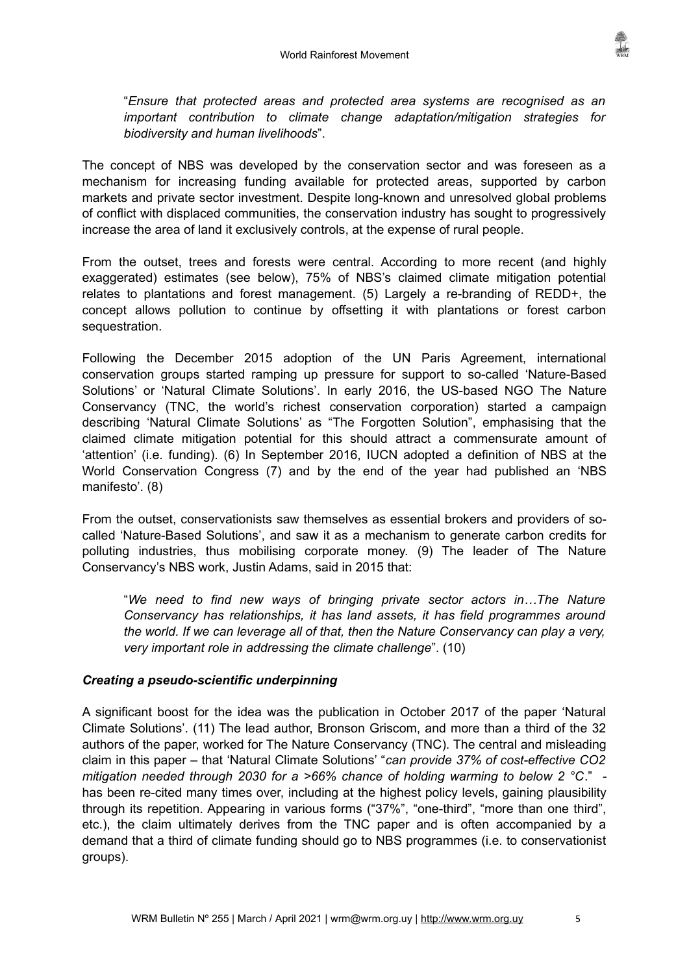"*Ensure that protected areas and protected area systems are recognised as an important contribution to climate change adaptation/mitigation strategies for biodiversity and human livelihoods*".

The concept of NBS was developed by the conservation sector and was foreseen as a mechanism for increasing funding available for protected areas, supported by carbon markets and private sector investment. Despite long-known and unresolved global problems of conflict with displaced communities, the conservation industry has sought to progressively increase the area of land it exclusively controls, at the expense of rural people.

From the outset, trees and forests were central. According to more recent (and highly exaggerated) estimates (see below), 75% of NBS's claimed climate mitigation potential relates to plantations and forest management. (5) Largely a re-branding of REDD+, the concept allows pollution to continue by offsetting it with plantations or forest carbon sequestration.

Following the December 2015 adoption of the UN Paris Agreement, international conservation groups started ramping up pressure for support to so-called 'Nature-Based Solutions' or 'Natural Climate Solutions'. In early 2016, the US-based NGO The Nature Conservancy (TNC, the world's richest conservation corporation) started a campaign describing 'Natural Climate Solutions' as "The Forgotten Solution", emphasising that the claimed climate mitigation potential for this should attract a commensurate amount of 'attention' (i.e. funding). (6) In September 2016, IUCN adopted a definition of NBS at the World Conservation Congress (7) and by the end of the year had published an 'NBS manifesto'. (8)

From the outset, conservationists saw themselves as essential brokers and providers of socalled 'Nature-Based Solutions', and saw it as a mechanism to generate carbon credits for polluting industries, thus mobilising corporate money. (9) The leader of The Nature Conservancy's NBS work, Justin Adams, said in 2015 that:

"*We need to find new ways of bringing private sector actors in…The Nature Conservancy has relationships, it has land assets, it has field programmes around the world. If we can leverage all of that, then the Nature Conservancy can play a very, very important role in addressing the climate challenge*". (10)

# *Creating a pseudo-scientific underpinning*

A significant boost for the idea was the publication in October 2017 of the paper 'Natural Climate Solutions'. (11) The lead author, Bronson Griscom, and more than a third of the 32 authors of the paper, worked for The Nature Conservancy (TNC). The central and misleading claim in this paper – that 'Natural Climate Solutions' "*can provide 37% of cost-effective CO2 mitigation needed through 2030 for a >66% chance of holding warming to below 2 °C*." has been re-cited many times over, including at the highest policy levels, gaining plausibility through its repetition. Appearing in various forms ("37%", "one-third", "more than one third", etc.), the claim ultimately derives from the TNC paper and is often accompanied by a demand that a third of climate funding should go to NBS programmes (i.e. to conservationist groups).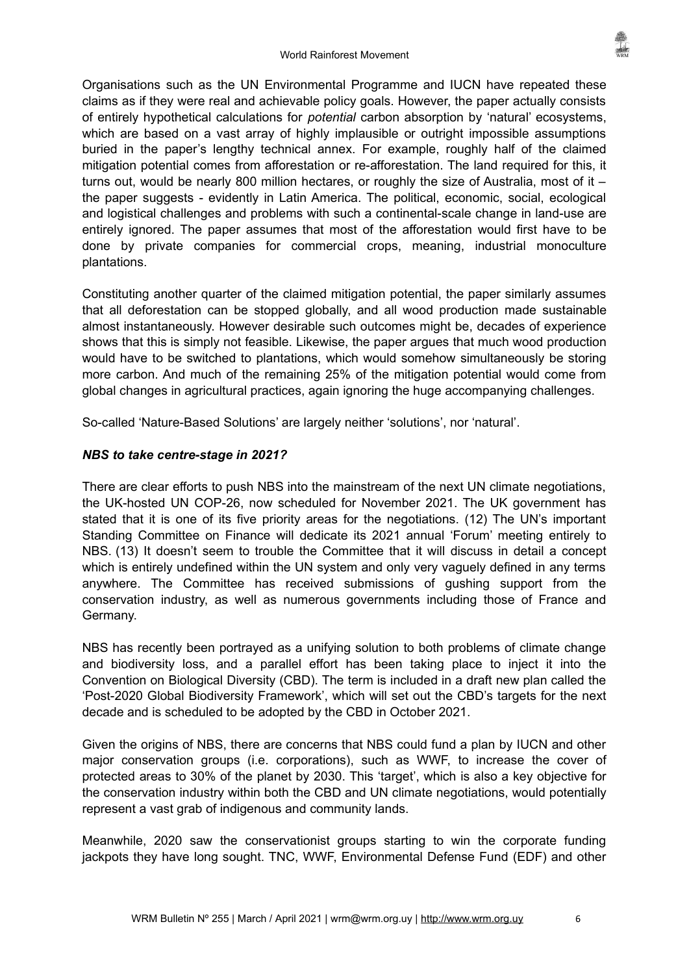Organisations such as the UN Environmental Programme and IUCN have repeated these claims as if they were real and achievable policy goals. However, the paper actually consists of entirely hypothetical calculations for *potential* carbon absorption by 'natural' ecosystems, which are based on a vast array of highly implausible or outright impossible assumptions buried in the paper's lengthy technical annex. For example, roughly half of the claimed mitigation potential comes from afforestation or re-afforestation. The land required for this, it turns out, would be nearly 800 million hectares, or roughly the size of Australia, most of it – the paper suggests - evidently in Latin America. The political, economic, social, ecological and logistical challenges and problems with such a continental-scale change in land-use are entirely ignored. The paper assumes that most of the afforestation would first have to be done by private companies for commercial crops, meaning, industrial monoculture plantations.

Constituting another quarter of the claimed mitigation potential, the paper similarly assumes that all deforestation can be stopped globally, and all wood production made sustainable almost instantaneously. However desirable such outcomes might be, decades of experience shows that this is simply not feasible. Likewise, the paper argues that much wood production would have to be switched to plantations, which would somehow simultaneously be storing more carbon. And much of the remaining 25% of the mitigation potential would come from global changes in agricultural practices, again ignoring the huge accompanying challenges.

So-called 'Nature-Based Solutions' are largely neither 'solutions', nor 'natural'.

# *NBS to take centre-stage in 2021?*

There are clear efforts to push NBS into the mainstream of the next UN climate negotiations, the UK-hosted UN COP-26, now scheduled for November 2021. The UK government has stated that it is one of its five priority areas for the negotiations. (12) The UN's important Standing Committee on Finance will dedicate its 2021 annual 'Forum' meeting entirely to NBS. (13) It doesn't seem to trouble the Committee that it will discuss in detail a concept which is entirely undefined within the UN system and only very vaguely defined in any terms anywhere. The Committee has received submissions of gushing support from the conservation industry, as well as numerous governments including those of France and Germany.

NBS has recently been portrayed as a unifying solution to both problems of climate change and biodiversity loss, and a parallel effort has been taking place to inject it into the Convention on Biological Diversity (CBD). The term is included in a draft new plan called the 'Post-2020 Global Biodiversity Framework', which will set out the CBD's targets for the next decade and is scheduled to be adopted by the CBD in October 2021.

Given the origins of NBS, there are concerns that NBS could fund a plan by IUCN and other major conservation groups (i.e. corporations), such as WWF, to increase the cover of protected areas to 30% of the planet by 2030. This 'target', which is also a key objective for the conservation industry within both the CBD and UN climate negotiations, would potentially represent a vast grab of indigenous and community lands.

Meanwhile, 2020 saw the conservationist groups starting to win the corporate funding jackpots they have long sought. TNC, WWF, Environmental Defense Fund (EDF) and other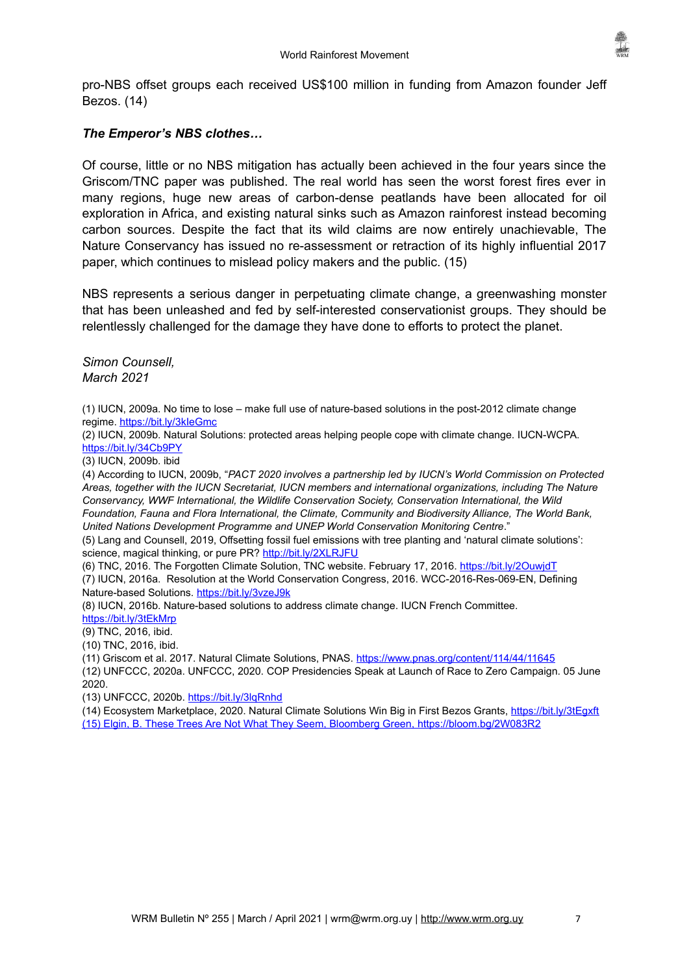

pro-NBS offset groups each received US\$100 million in funding from Amazon founder Jeff Bezos. (14)

# *The Emperor's NBS clothes…*

Of course, little or no NBS mitigation has actually been achieved in the four years since the Griscom/TNC paper was published. The real world has seen the worst forest fires ever in many regions, huge new areas of carbon-dense peatlands have been allocated for oil exploration in Africa, and existing natural sinks such as Amazon rainforest instead becoming carbon sources. Despite the fact that its wild claims are now entirely unachievable, The Nature Conservancy has issued no re-assessment or retraction of its highly influential 2017 paper, which continues to mislead policy makers and the public. (15)

NBS represents a serious danger in perpetuating climate change, a greenwashing monster that has been unleashed and fed by self-interested conservationist groups. They should be relentlessly challenged for the damage they have done to efforts to protect the planet.

*Simon Counsell, March 2021*

(1) IUCN, 2009a. No time to lose – make full use of nature-based solutions in the post-2012 climate change regime.<https://bit.ly/3kIeGmc>

(2) IUCN, 2009b. Natural Solutions: protected areas helping people cope with climate change. IUCN-WCPA. <https://bit.ly/34Cb9PY>

(3) IUCN, 2009b. ibid

(4) According to IUCN, 2009b, "*PACT 2020 involves a partnership led by IUCN's World Commission on Protected Areas, together with the IUCN Secretariat, IUCN members and international organizations, including The Nature Conservancy, WWF International, the Wildlife Conservation Society, Conservation International, the Wild Foundation, Fauna and Flora International, the Climate, Community and Biodiversity Alliance, The World Bank, United Nations Development Programme and UNEP World Conservation Monitoring Centre*."

(5) Lang and Counsell, 2019, Offsetting fossil fuel emissions with tree planting and 'natural climate solutions': science, magical thinking, or pure PR?<http://bit.ly/2XLRJFU>

(6) TNC, 2016. The Forgotten Climate Solution, TNC website. February 17, 2016.<https://bit.ly/2OuwjdT> (7) IUCN, 2016a. Resolution at the World Conservation Congress, 2016. WCC-2016-Res-069-EN, Defining Nature-based Solutions.<https://bit.ly/3vzeJ9k>

(8) IUCN, 2016b. Nature-based solutions to address climate change. IUCN French Committee.

<https://bit.ly/3tEkMrp>

(9) TNC, 2016, ibid.

(10) TNC, 2016, ibid.

(11) Griscom et al. 2017. Natural Climate Solutions, PNAS. <https://www.pnas.org/content/114/44/11645>

(12) UNFCCC, 2020a. UNFCCC, 2020. COP Presidencies Speak at Launch of Race to Zero Campaign. 05 June 2020.

(13) UNFCCC, 2020b.<https://bit.ly/3lqRnhd>

(14) Ecosystem Marketplace, 2020. Natural Climate Solutions Win Big in First Bezos Grants, <https://bit.ly/3tEgxft> (15) Elgin, B. These Trees Are Not What They Seem, Bloomberg Green, <https://bloom.bg/2W083R2>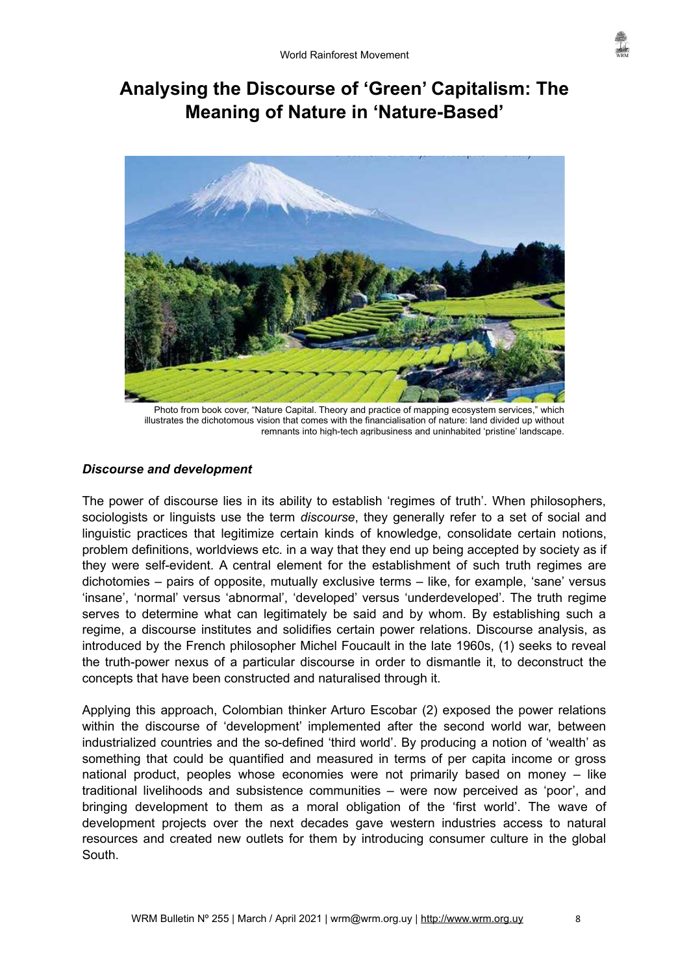# **Analysing the Discourse of 'Green' Capitalism: The Meaning of Nature in 'Nature-Based'**



Photo from book cover, "Nature Capital. Theory and practice of mapping ecosystem services," which illustrates the dichotomous vision that comes with the financialisation of nature: land divided up without remnants into high-tech agribusiness and uninhabited 'pristine' landscape.

# *Discourse and development*

The power of discourse lies in its ability to establish 'regimes of truth'. When philosophers, sociologists or linguists use the term *discourse*, they generally refer to a set of social and linguistic practices that legitimize certain kinds of knowledge, consolidate certain notions, problem definitions, worldviews etc. in a way that they end up being accepted by society as if they were self-evident. A central element for the establishment of such truth regimes are dichotomies – pairs of opposite, mutually exclusive terms – like, for example, 'sane' versus 'insane', 'normal' versus 'abnormal', 'developed' versus 'underdeveloped'. The truth regime serves to determine what can legitimately be said and by whom. By establishing such a regime, a discourse institutes and solidifies certain power relations. Discourse analysis, as introduced by the French philosopher Michel Foucault in the late 1960s, (1) seeks to reveal the truth-power nexus of a particular discourse in order to dismantle it, to deconstruct the concepts that have been constructed and naturalised through it.

Applying this approach, Colombian thinker Arturo Escobar (2) exposed the power relations within the discourse of 'development' implemented after the second world war, between industrialized countries and the so-defined 'third world'. By producing a notion of 'wealth' as something that could be quantified and measured in terms of per capita income or gross national product, peoples whose economies were not primarily based on money – like traditional livelihoods and subsistence communities – were now perceived as 'poor', and bringing development to them as a moral obligation of the 'first world'. The wave of development projects over the next decades gave western industries access to natural resources and created new outlets for them by introducing consumer culture in the global **South**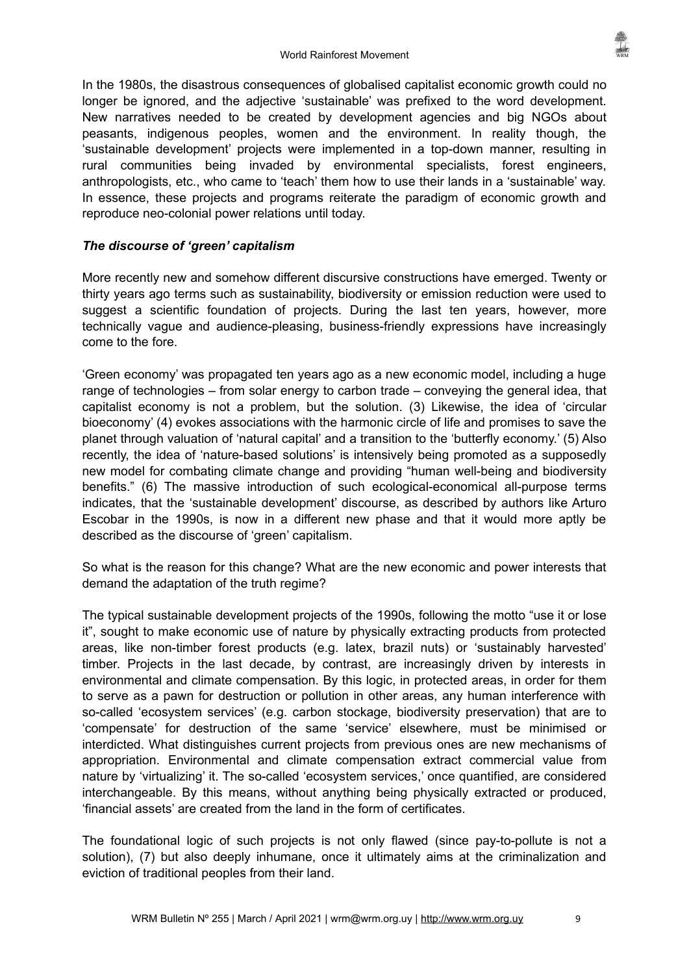In the 1980s, the disastrous consequences of globalised capitalist economic growth could no longer be ignored, and the adjective 'sustainable' was prefixed to the word development. New narratives needed to be created by development agencies and big NGOs about peasants, indigenous peoples, women and the environment. In reality though, the 'sustainable development' projects were implemented in a top-down manner, resulting in rural communities being invaded by environmental specialists, forest engineers, anthropologists, etc., who came to 'teach' them how to use their lands in a 'sustainable' way. In essence, these projects and programs reiterate the paradigm of economic growth and reproduce neo-colonial power relations until today.

# *The discourse of 'green' capitalism*

More recently new and somehow different discursive constructions have emerged. Twenty or thirty years ago terms such as sustainability, biodiversity or emission reduction were used to suggest a scientific foundation of projects. During the last ten years, however, more technically vague and audience-pleasing, business-friendly expressions have increasingly come to the fore.

'Green economy' was propagated ten years ago as a new economic model, including a huge range of technologies – from solar energy to carbon trade – conveying the general idea, that capitalist economy is not a problem, but the solution. (3) Likewise, the idea of 'circular bioeconomy' (4) evokes associations with the harmonic circle of life and promises to save the planet through valuation of 'natural capital' and a transition to the 'butterfly economy.' (5) Also recently, the idea of 'nature-based solutions' is intensively being promoted as a supposedly new model for combating climate change and providing "human well-being and biodiversity benefits." (6) The massive introduction of such ecological-economical all-purpose terms indicates, that the 'sustainable development' discourse, as described by authors like Arturo Escobar in the 1990s, is now in a different new phase and that it would more aptly be described as the discourse of 'green' capitalism.

So what is the reason for this change? What are the new economic and power interests that demand the adaptation of the truth regime?

The typical sustainable development projects of the 1990s, following the motto "use it or lose it", sought to make economic use of nature by physically extracting products from protected areas, like non-timber forest products (e.g. latex, brazil nuts) or 'sustainably harvested' timber. Projects in the last decade, by contrast, are increasingly driven by interests in environmental and climate compensation. By this logic, in protected areas, in order for them to serve as a pawn for destruction or pollution in other areas, any human interference with so-called 'ecosystem services' (e.g. carbon stockage, biodiversity preservation) that are to 'compensate' for destruction of the same 'service' elsewhere, must be minimised or interdicted. What distinguishes current projects from previous ones are new mechanisms of appropriation. Environmental and climate compensation extract commercial value from nature by 'virtualizing' it. The so-called 'ecosystem services,' once quantified, are considered interchangeable. By this means, without anything being physically extracted or produced, 'financial assets' are created from the land in the form of certificates.

The foundational logic of such projects is not only flawed (since pay-to-pollute is not a solution), (7) but also deeply inhumane, once it ultimately aims at the criminalization and eviction of traditional peoples from their land.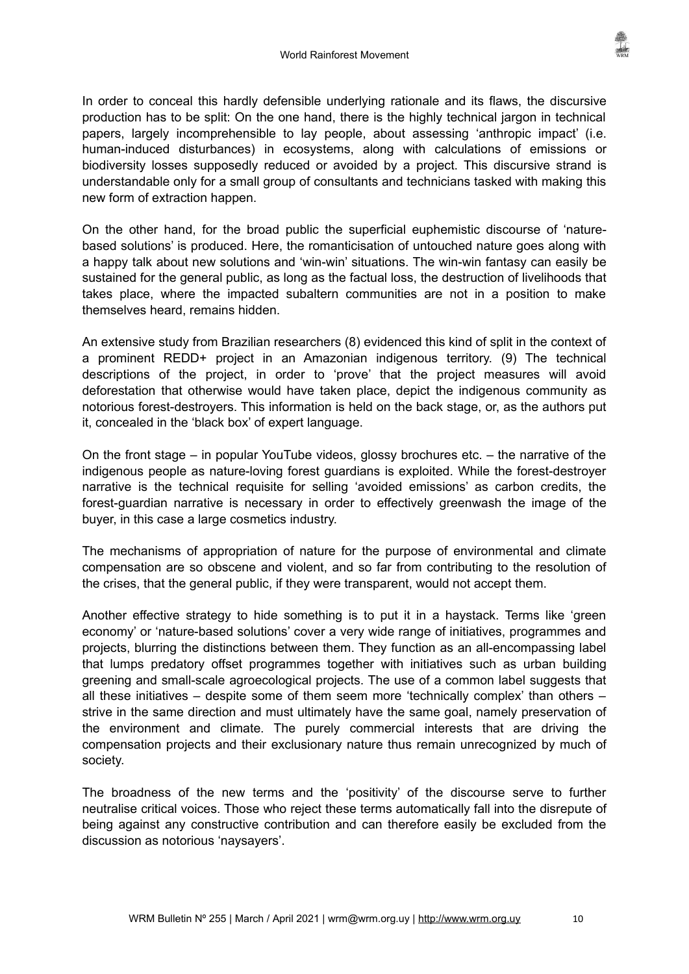In order to conceal this hardly defensible underlying rationale and its flaws, the discursive production has to be split: On the one hand, there is the highly technical jargon in technical papers, largely incomprehensible to lay people, about assessing 'anthropic impact' (i.e. human-induced disturbances) in ecosystems, along with calculations of emissions or biodiversity losses supposedly reduced or avoided by a project. This discursive strand is understandable only for a small group of consultants and technicians tasked with making this new form of extraction happen.

On the other hand, for the broad public the superficial euphemistic discourse of 'naturebased solutions' is produced. Here, the romanticisation of untouched nature goes along with a happy talk about new solutions and 'win-win' situations. The win-win fantasy can easily be sustained for the general public, as long as the factual loss, the destruction of livelihoods that takes place, where the impacted subaltern communities are not in a position to make themselves heard, remains hidden.

An extensive study from Brazilian researchers (8) evidenced this kind of split in the context of a prominent REDD+ project in an Amazonian indigenous territory. (9) The technical descriptions of the project, in order to 'prove' that the project measures will avoid deforestation that otherwise would have taken place, depict the indigenous community as notorious forest-destroyers. This information is held on the back stage, or, as the authors put it, concealed in the 'black box' of expert language.

On the front stage – in popular YouTube videos, glossy brochures etc. – the narrative of the indigenous people as nature-loving forest guardians is exploited. While the forest-destroyer narrative is the technical requisite for selling 'avoided emissions' as carbon credits, the forest-guardian narrative is necessary in order to effectively greenwash the image of the buyer, in this case a large cosmetics industry.

The mechanisms of appropriation of nature for the purpose of environmental and climate compensation are so obscene and violent, and so far from contributing to the resolution of the crises, that the general public, if they were transparent, would not accept them.

Another effective strategy to hide something is to put it in a haystack. Terms like 'green economy' or 'nature-based solutions' cover a very wide range of initiatives, programmes and projects, blurring the distinctions between them. They function as an all-encompassing label that lumps predatory offset programmes together with initiatives such as urban building greening and small-scale agroecological projects. The use of a common label suggests that all these initiatives – despite some of them seem more 'technically complex' than others – strive in the same direction and must ultimately have the same goal, namely preservation of the environment and climate. The purely commercial interests that are driving the compensation projects and their exclusionary nature thus remain unrecognized by much of society.

The broadness of the new terms and the 'positivity' of the discourse serve to further neutralise critical voices. Those who reject these terms automatically fall into the disrepute of being against any constructive contribution and can therefore easily be excluded from the discussion as notorious 'naysayers'.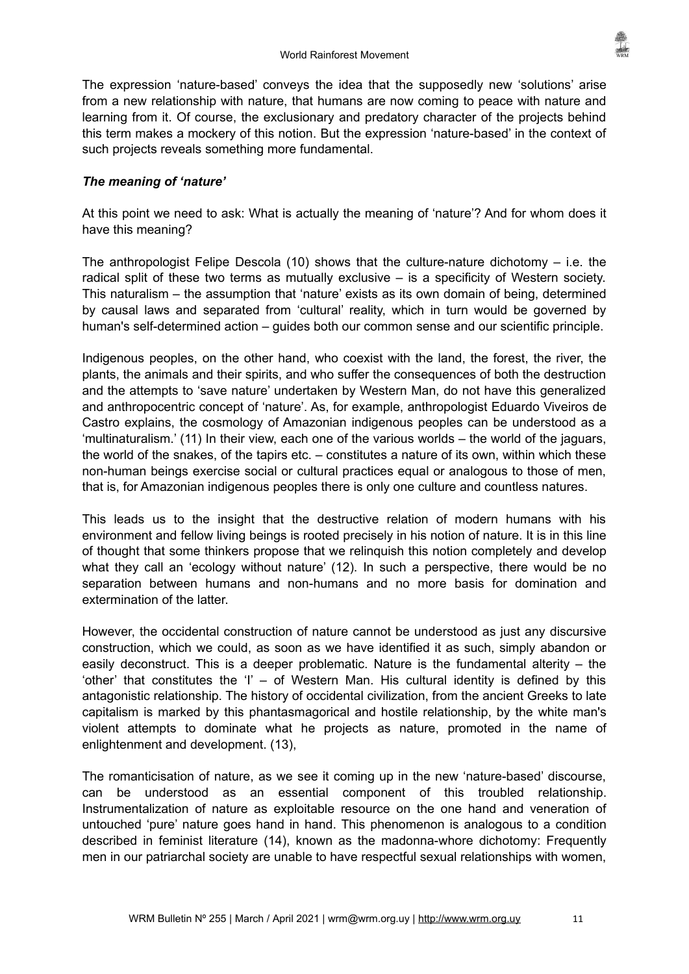The expression 'nature-based' conveys the idea that the supposedly new 'solutions' arise from a new relationship with nature, that humans are now coming to peace with nature and learning from it. Of course, the exclusionary and predatory character of the projects behind this term makes a mockery of this notion. But the expression 'nature-based' in the context of such projects reveals something more fundamental.

# *The meaning of 'nature'*

At this point we need to ask: What is actually the meaning of 'nature'? And for whom does it have this meaning?

The anthropologist Felipe Descola  $(10)$  shows that the culture-nature dichotomy – i.e. the radical split of these two terms as mutually exclusive – is a specificity of Western society. This naturalism – the assumption that 'nature' exists as its own domain of being, determined by causal laws and separated from 'cultural' reality, which in turn would be governed by human's self-determined action – guides both our common sense and our scientific principle.

Indigenous peoples, on the other hand, who coexist with the land, the forest, the river, the plants, the animals and their spirits, and who suffer the consequences of both the destruction and the attempts to 'save nature' undertaken by Western Man, do not have this generalized and anthropocentric concept of 'nature'. As, for example, anthropologist Eduardo Viveiros de Castro explains, the cosmology of Amazonian indigenous peoples can be understood as a 'multinaturalism.' (11) In their view, each one of the various worlds – the world of the jaguars, the world of the snakes, of the tapirs etc. – constitutes a nature of its own, within which these non-human beings exercise social or cultural practices equal or analogous to those of men, that is, for Amazonian indigenous peoples there is only one culture and countless natures.

This leads us to the insight that the destructive relation of modern humans with his environment and fellow living beings is rooted precisely in his notion of nature. It is in this line of thought that some thinkers propose that we relinquish this notion completely and develop what they call an 'ecology without nature' (12). In such a perspective, there would be no separation between humans and non-humans and no more basis for domination and extermination of the latter.

However, the occidental construction of nature cannot be understood as just any discursive construction, which we could, as soon as we have identified it as such, simply abandon or easily deconstruct. This is a deeper problematic. Nature is the fundamental alterity – the 'other' that constitutes the 'I' – of Western Man. His cultural identity is defined by this antagonistic relationship. The history of occidental civilization, from the ancient Greeks to late capitalism is marked by this phantasmagorical and hostile relationship, by the white man's violent attempts to dominate what he projects as nature, promoted in the name of enlightenment and development. (13),

The romanticisation of nature, as we see it coming up in the new 'nature-based' discourse, can be understood as an essential component of this troubled relationship. Instrumentalization of nature as exploitable resource on the one hand and veneration of untouched 'pure' nature goes hand in hand. This phenomenon is analogous to a condition described in feminist literature (14), known as the madonna-whore dichotomy: Frequently men in our patriarchal society are unable to have respectful sexual relationships with women,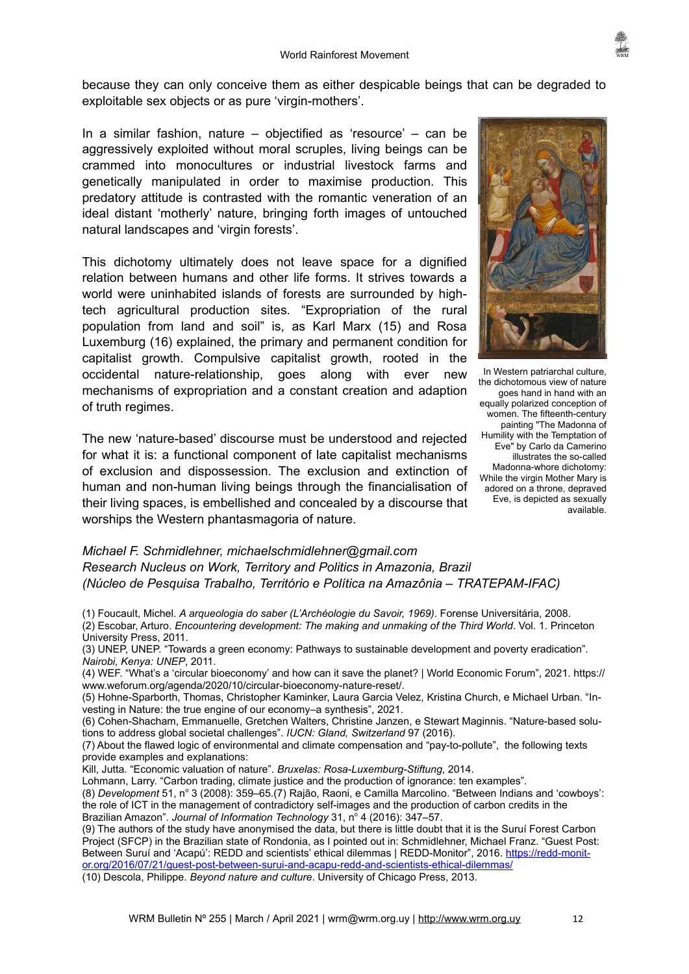because they can only conceive them as either despicable beings that can be degraded to exploitable sex objects or as pure 'virgin-mothers'.

In a similar fashion, nature – objectified as 'resource' – can be aggressively exploited without moral scruples, living beings can be crammed into monocultures or industrial livestock farms and genetically manipulated in order to maximise production. This predatory attitude is contrasted with the romantic veneration of an ideal distant 'motherly' nature, bringing forth images of untouched natural landscapes and 'virgin forests'.

This dichotomy ultimately does not leave space for a dignified relation between humans and other life forms. It strives towards a world were uninhabited islands of forests are surrounded by hightech agricultural production sites. "Expropriation of the rural population from land and soil" is, as Karl Marx (15) and Rosa Luxemburg (16) explained, the primary and permanent condition for capitalist growth. Compulsive capitalist growth, rooted in the occidental nature-relationship, goes along with ever new mechanisms of expropriation and a constant creation and adaption of truth regimes.

The new 'nature-based' discourse must be understood and rejected for what it is: a functional component of late capitalist mechanisms of exclusion and dispossession. The exclusion and extinction of human and non-human living beings through the financialisation of their living spaces, is embellished and concealed by a discourse that worships the Western phantasmagoria of nature.



In Western patriarchal culture, the dichotomous view of nature goes hand in hand with an equally polarized conception of women. The fifteenth-century painting "The Madonna of Humility with the Temptation of Eve" by Carlo da Camerino illustrates the so-called Madonna-whore dichotomy: While the virgin Mother Mary is adored on a throne, depraved Eve, is depicted as sexually available.

# *Michael F. Schmidlehner, michaelschmidlehner@gmail.com Research Nucleus on Work, Territory and Politics in Amazonia, Brazil (Núcleo de Pesquisa Trabalho, Território e Política na Amazônia – TRATEPAM-IFAC)*

- (1) Foucault, Michel. *A arqueologia do saber (L'Archéologie du Savoir, 1969)*. Forense Universitária, 2008. (2) Escobar, Arturo. *Encountering development: The making and unmaking of the Third World*. Vol. 1. Princeton University Press, 2011.
- (3) UNEP, UNEP. "Towards a green economy: Pathways to sustainable development and poverty eradication". *Nairobi, Kenya: UNEP*, 2011.
- (4) WEF. "What's a 'circular bioeconomy' and how can it save the planet? | World Economic Forum", 2021. https:// www.weforum.org/agenda/2020/10/circular-bioeconomy-nature-reset/.
- (5) Hohne-Sparborth, Thomas, Christopher Kaminker, Laura Garcia Velez, Kristina Church, e Michael Urban. "Investing in Nature: the true engine of our economy–a synthesis", 2021.
- (6) Cohen-Shacham, Emmanuelle, Gretchen Walters, Christine Janzen, e Stewart Maginnis. "Nature-based solutions to address global societal challenges". *IUCN: Gland, Switzerland* 97 (2016).
- (7) About the flawed logic of environmental and climate compensation and "pay-to-pollute", the following texts provide examples and explanations:
- Kill, Jutta. "Economic valuation of nature". *Bruxelas: Rosa-Luxemburg-Stiftung*, 2014.
- Lohmann, Larry. "Carbon trading, climate justice and the production of ignorance: ten examples".
- (8) *Development* 51, n° 3 (2008): 359–65.(7) Rajão, Raoni, e Camilla Marcolino. "Between Indians and 'cowboys': the role of ICT in the management of contradictory self-images and the production of carbon credits in the Brazilian Amazon". Journal of Information Technology 31, nº 4 (2016): 347-57.
- (9) The authors of the study have anonymised the data, but there is little doubt that it is the Suruí Forest Carbon Project (SFCP) in the Brazilian state of Rondonia, as I pointed out in: Schmidlehner, Michael Franz. "Guest Post: Between Suruí and 'Acapú': REDD and scientists' ethical dilemmas | REDD-Monitor", 2016. [https://redd-monit](https://redd-monitor.org/2016/07/21/guest-post-between-surui-and-acapu-redd-and-scientists-ethical-dilemmas/)[or.org/2016/07/21/guest-post-between-surui-and-acapu-redd-and-scientists-ethical-dilemmas/](https://redd-monitor.org/2016/07/21/guest-post-between-surui-and-acapu-redd-and-scientists-ethical-dilemmas/)
- (10) Descola, Philippe. *Beyond nature and culture*. University of Chicago Press, 2013.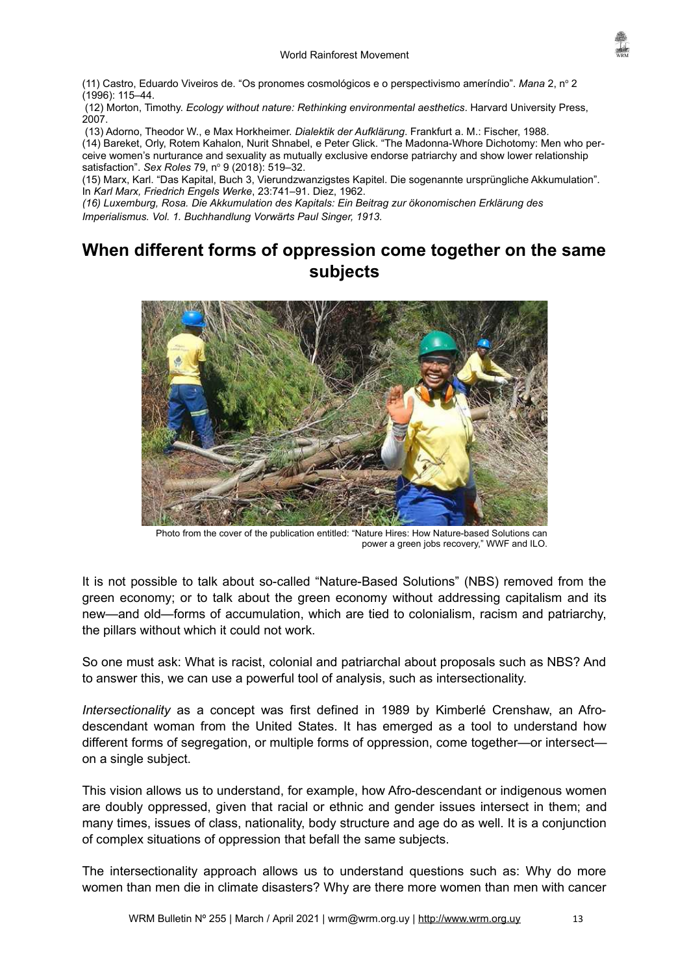(11) Castro, Eduardo Viveiros de. "Os pronomes cosmológicos e o perspectivismo ameríndio". *Mana* 2, nº 2 (1996): 115–44.

(12) Morton, Timothy. *Ecology without nature: Rethinking environmental aesthetics*. Harvard University Press, 2007.

(13) Adorno, Theodor W., e Max Horkheimer. *Dialektik der Aufklärung*. Frankfurt a. M.: Fischer, 1988.

(14) Bareket, Orly, Rotem Kahalon, Nurit Shnabel, e Peter Glick. "The Madonna-Whore Dichotomy: Men who perceive women's nurturance and sexuality as mutually exclusive endorse patriarchy and show lower relationship satisfaction". *Sex Roles* 79, n° 9 (2018): 519–32.

(15) Marx, Karl. "Das Kapital, Buch 3, Vierundzwanzigstes Kapitel. Die sogenannte ursprüngliche Akkumulation". In *Karl Marx, Friedrich Engels Werke*, 23:741–91. Diez, 1962.

*(16) Luxemburg, Rosa. Die Akkumulation des Kapitals: Ein Beitrag zur ökonomischen Erklärung des Imperialismus. Vol. 1. Buchhandlung Vorwärts Paul Singer, 1913.*

# <span id="page-12-0"></span>**When different forms of oppression come together on the same subjects**



Photo from the cover of the publication entitled: "Nature Hires: How Nature-based Solutions can power a green jobs recovery," WWF and ILO.

It is not possible to talk about so-called "Nature-Based Solutions" (NBS) removed from the green economy; or to talk about the green economy without addressing capitalism and its new—and old—forms of accumulation, which are tied to colonialism, racism and patriarchy, the pillars without which it could not work.

So one must ask: What is racist, colonial and patriarchal about proposals such as NBS? And to answer this, we can use a powerful tool of analysis, such as intersectionality.

*Intersectionality* as a concept was first defined in 1989 by Kimberlé Crenshaw, an Afrodescendant woman from the United States. It has emerged as a tool to understand how different forms of segregation, or multiple forms of oppression, come together—or intersect on a single subject.

This vision allows us to understand, for example, how Afro-descendant or indigenous women are doubly oppressed, given that racial or ethnic and gender issues intersect in them; and many times, issues of class, nationality, body structure and age do as well. It is a conjunction of complex situations of oppression that befall the same subjects.

The intersectionality approach allows us to understand questions such as: Why do more women than men die in climate disasters? Why are there more women than men with cancer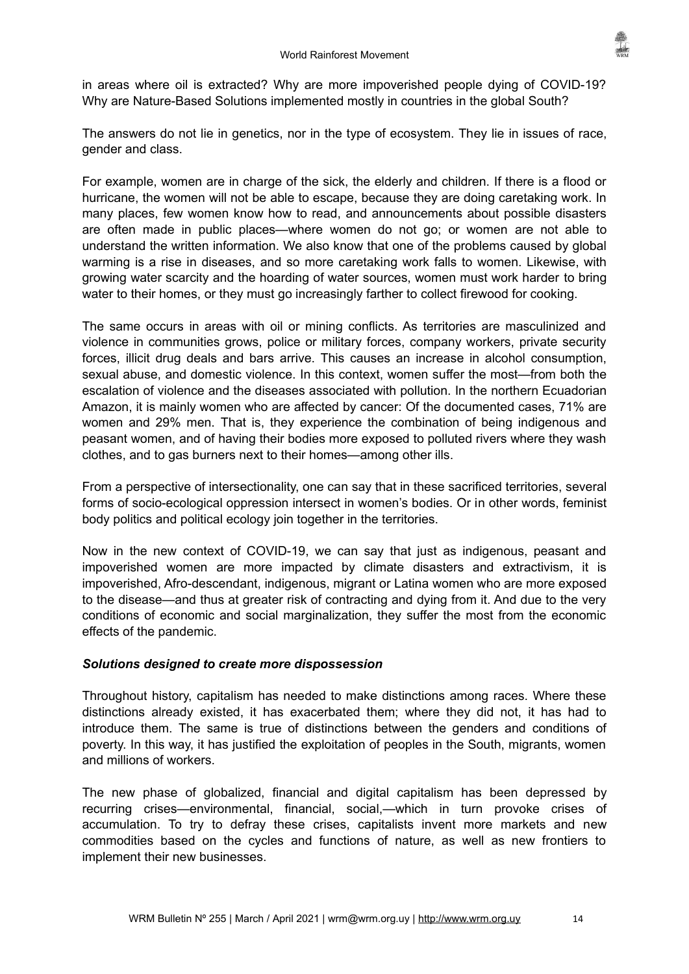in areas where oil is extracted? Why are more impoverished people dying of COVID-19? Why are Nature-Based Solutions implemented mostly in countries in the global South?

The answers do not lie in genetics, nor in the type of ecosystem. They lie in issues of race, gender and class.

For example, women are in charge of the sick, the elderly and children. If there is a flood or hurricane, the women will not be able to escape, because they are doing caretaking work. In many places, few women know how to read, and announcements about possible disasters are often made in public places—where women do not go; or women are not able to understand the written information. We also know that one of the problems caused by global warming is a rise in diseases, and so more caretaking work falls to women. Likewise, with growing water scarcity and the hoarding of water sources, women must work harder to bring water to their homes, or they must go increasingly farther to collect firewood for cooking.

The same occurs in areas with oil or mining conflicts. As territories are masculinized and violence in communities grows, police or military forces, company workers, private security forces, illicit drug deals and bars arrive. This causes an increase in alcohol consumption, sexual abuse, and domestic violence. In this context, women suffer the most—from both the escalation of violence and the diseases associated with pollution. In the northern Ecuadorian Amazon, it is mainly women who are affected by cancer: Of the documented cases, 71% are women and 29% men. That is, they experience the combination of being indigenous and peasant women, and of having their bodies more exposed to polluted rivers where they wash clothes, and to gas burners next to their homes—among other ills.

From a perspective of intersectionality, one can say that in these sacrificed territories, several forms of socio-ecological oppression intersect in women's bodies. Or in other words, feminist body politics and political ecology join together in the territories.

Now in the new context of COVID-19, we can say that just as indigenous, peasant and impoverished women are more impacted by climate disasters and extractivism, it is impoverished, Afro-descendant, indigenous, migrant or Latina women who are more exposed to the disease—and thus at greater risk of contracting and dying from it. And due to the very conditions of economic and social marginalization, they suffer the most from the economic effects of the pandemic.

# *Solutions designed to create more dispossession*

Throughout history, capitalism has needed to make distinctions among races. Where these distinctions already existed, it has exacerbated them; where they did not, it has had to introduce them. The same is true of distinctions between the genders and conditions of poverty. In this way, it has justified the exploitation of peoples in the South, migrants, women and millions of workers.

The new phase of globalized, financial and digital capitalism has been depressed by recurring crises—environmental, financial, social,—which in turn provoke crises of accumulation. To try to defray these crises, capitalists invent more markets and new commodities based on the cycles and functions of nature, as well as new frontiers to implement their new businesses.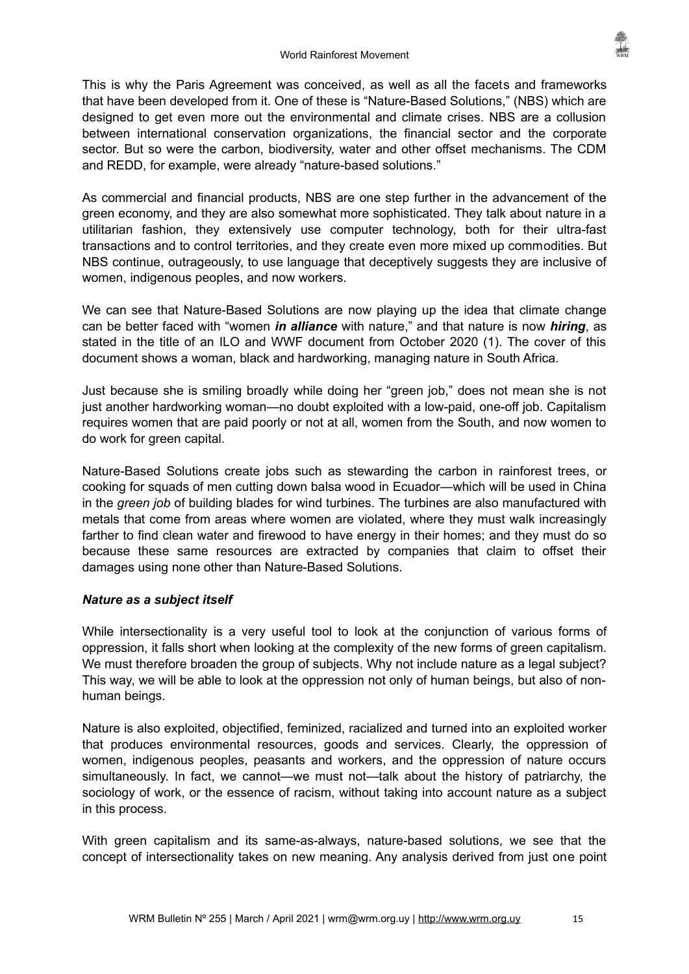This is why the Paris Agreement was conceived, as well as all the facets and frameworks that have been developed from it. One of these is "Nature-Based Solutions," (NBS) which are designed to get even more out the environmental and climate crises. NBS are a collusion between international conservation organizations, the financial sector and the corporate sector. But so were the carbon, biodiversity, water and other offset mechanisms. The CDM and REDD, for example, were already "nature-based solutions."

As commercial and financial products, NBS are one step further in the advancement of the green economy, and they are also somewhat more sophisticated. They talk about nature in a utilitarian fashion, they extensively use computer technology, both for their ultra-fast transactions and to control territories, and they create even more mixed up commodities. But NBS continue, outrageously, to use language that deceptively suggests they are inclusive of women, indigenous peoples, and now workers.

We can see that Nature-Based Solutions are now playing up the idea that climate change can be better faced with "women *in alliance* with nature," and that nature is now *hiring*, as stated in the title of an ILO and WWF document from October 2020 (1). The cover of this document shows a woman, black and hardworking, managing nature in South Africa.

Just because she is smiling broadly while doing her "green job," does not mean she is not just another hardworking woman—no doubt exploited with a low-paid, one-off job. Capitalism requires women that are paid poorly or not at all, women from the South, and now women to do work for green capital.

Nature-Based Solutions create jobs such as stewarding the carbon in rainforest trees, or cooking for squads of men cutting down balsa wood in Ecuador—which will be used in China in the *green job* of building blades for wind turbines. The turbines are also manufactured with metals that come from areas where women are violated, where they must walk increasingly farther to find clean water and firewood to have energy in their homes; and they must do so because these same resources are extracted by companies that claim to offset their damages using none other than Nature-Based Solutions.

# *Nature as a subject itself*

While intersectionality is a very useful tool to look at the conjunction of various forms of oppression, it falls short when looking at the complexity of the new forms of green capitalism. We must therefore broaden the group of subjects. Why not include nature as a legal subject? This way, we will be able to look at the oppression not only of human beings, but also of nonhuman beings.

Nature is also exploited, objectified, feminized, racialized and turned into an exploited worker that produces environmental resources, goods and services. Clearly, the oppression of women, indigenous peoples, peasants and workers, and the oppression of nature occurs simultaneously. In fact, we cannot—we must not—talk about the history of patriarchy, the sociology of work, or the essence of racism, without taking into account nature as a subject in this process.

With green capitalism and its same-as-always, nature-based solutions, we see that the concept of intersectionality takes on new meaning. Any analysis derived from just one point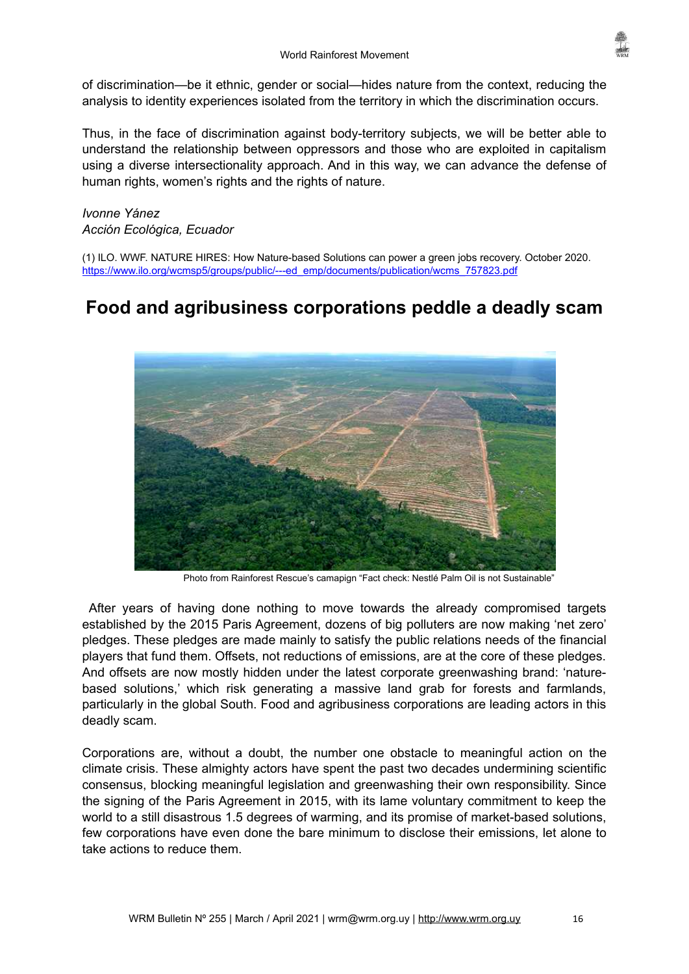

of discrimination—be it ethnic, gender or social—hides nature from the context, reducing the analysis to identity experiences isolated from the territory in which the discrimination occurs.

Thus, in the face of discrimination against body-territory subjects, we will be better able to understand the relationship between oppressors and those who are exploited in capitalism using a diverse intersectionality approach. And in this way, we can advance the defense of human rights, women's rights and the rights of nature.

*Ivonne Yánez Acción Ecológica, Ecuador*

(1) ILO. WWF. NATURE HIRES: How Nature-based Solutions can power a green jobs recovery. October 2020. [https://www.ilo.org/wcmsp5/groups/public/---ed\\_emp/documents/publication/wcms\\_757823.pdf](https://www.ilo.org/wcmsp5/groups/public/---ed_emp/documents/publication/wcms_757823.pdf)

# <span id="page-15-0"></span>**Food and agribusiness corporations peddle a deadly scam**



Photo from Rainforest Rescue's camapign "Fact check: Nestlé Palm Oil is not Sustainable"

After years of having done nothing to move towards the already compromised targets established by the 2015 Paris Agreement, dozens of big polluters are now making 'net zero' pledges. These pledges are made mainly to satisfy the public relations needs of the financial players that fund them. Offsets, not reductions of emissions, are at the core of these pledges. And offsets are now mostly hidden under the latest corporate greenwashing brand: 'naturebased solutions,' which risk generating a massive land grab for forests and farmlands, particularly in the global South. Food and agribusiness corporations are leading actors in this deadly scam.

Corporations are, without a doubt, the number one obstacle to meaningful action on the climate crisis. These almighty actors have spent the past two decades undermining scientific consensus, blocking meaningful legislation and greenwashing their own responsibility. Since the signing of the Paris Agreement in 2015, with its lame voluntary commitment to keep the world to a still disastrous 1.5 degrees of warming, and its promise of market-based solutions, few corporations have even done the bare minimum to disclose their emissions, let alone to take actions to reduce them.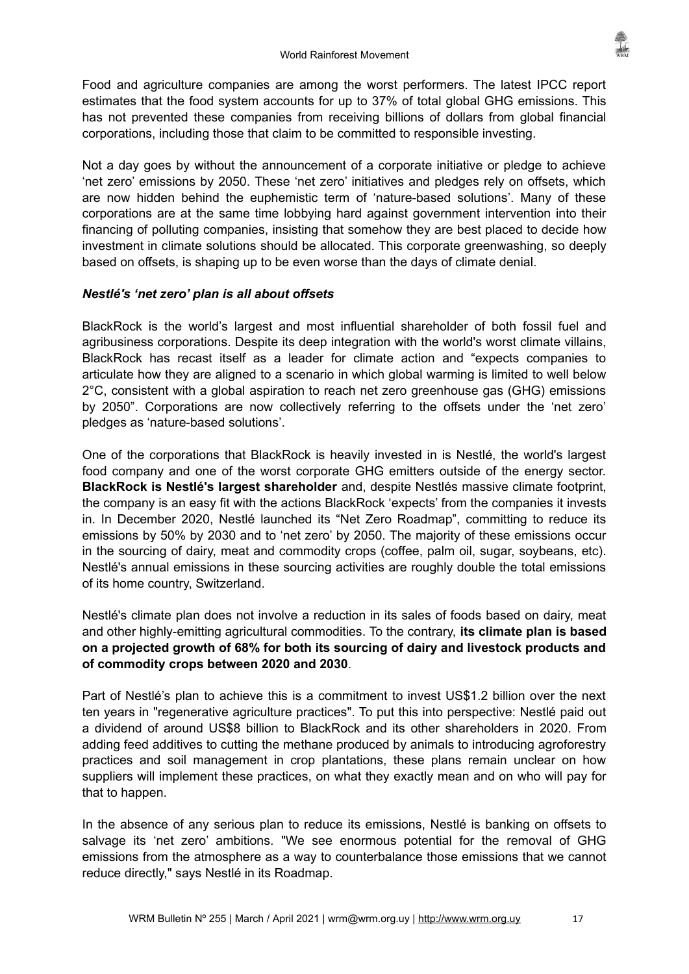Food and agriculture companies are among the worst performers. The latest IPCC report estimates that the food system accounts for up to 37% of total global GHG emissions. This has not prevented these companies from receiving billions of dollars from global financial corporations, including those that claim to be committed to responsible investing.

Not a day goes by without the announcement of a corporate initiative or pledge to achieve 'net zero' emissions by 2050. These 'net zero' initiatives and pledges rely on offsets, which are now hidden behind the euphemistic term of 'nature-based solutions'. Many of these corporations are at the same time lobbying hard against government intervention into their financing of polluting companies, insisting that somehow they are best placed to decide how investment in climate solutions should be allocated. This corporate greenwashing, so deeply based on offsets, is shaping up to be even worse than the days of climate denial.

# *Nestlé's 'net zero' plan is all about offsets*

BlackRock is the world's largest and most influential shareholder of both fossil fuel and agribusiness corporations. Despite its deep integration with the world's worst climate villains, BlackRock has recast itself as a leader for climate action and "expects companies to articulate how they are aligned to a scenario in which global warming is limited to well below 2°C, consistent with a global aspiration to reach net zero greenhouse gas (GHG) emissions by 2050". Corporations are now collectively referring to the offsets under the 'net zero' pledges as 'nature-based solutions'.

One of the corporations that BlackRock is heavily invested in is Nestlé, the world's largest food company and one of the worst corporate GHG emitters outside of the energy sector. **BlackRock is Nestlé's largest shareholder** and, despite Nestlés massive climate footprint, the company is an easy fit with the actions BlackRock 'expects' from the companies it invests in. In December 2020, Nestlé launched its "Net Zero Roadmap", committing to reduce its emissions by 50% by 2030 and to 'net zero' by 2050. The majority of these emissions occur in the sourcing of dairy, meat and commodity crops (coffee, palm oil, sugar, soybeans, etc). Nestlé's annual emissions in these sourcing activities are roughly double the total emissions of its home country, Switzerland.

Nestlé's climate plan does not involve a reduction in its sales of foods based on dairy, meat and other highly-emitting agricultural commodities. To the contrary, **its climate plan is based on a projected growth of 68% for both its sourcing of dairy and livestock products and of commodity crops between 2020 and 2030**.

Part of Nestlé's plan to achieve this is a commitment to invest US\$1.2 billion over the next ten years in "regenerative agriculture practices". To put this into perspective: Nestlé paid out a dividend of around US\$8 billion to BlackRock and its other shareholders in 2020. From adding feed additives to cutting the methane produced by animals to introducing agroforestry practices and soil management in crop plantations, these plans remain unclear on how suppliers will implement these practices, on what they exactly mean and on who will pay for that to happen.

In the absence of any serious plan to reduce its emissions, Nestlé is banking on offsets to salvage its 'net zero' ambitions. "We see enormous potential for the removal of GHG emissions from the atmosphere as a way to counterbalance those emissions that we cannot reduce directly," says Nestlé in its Roadmap.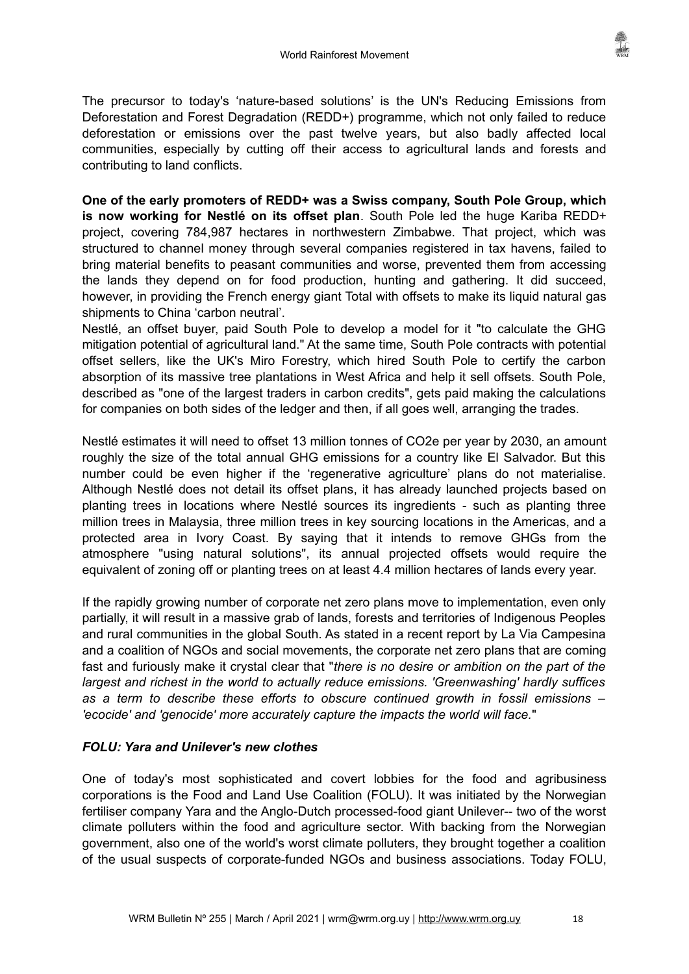The precursor to today's 'nature-based solutions' is the UN's Reducing Emissions from Deforestation and Forest Degradation (REDD+) programme, which not only failed to reduce deforestation or emissions over the past twelve years, but also badly affected local communities, especially by cutting off their access to agricultural lands and forests and contributing to land conflicts.

**One of the early promoters of REDD+ was a Swiss company, South Pole Group, which is now working for Nestlé on its offset plan**. South Pole led the huge Kariba REDD+ project, covering 784,987 hectares in northwestern Zimbabwe. That project, which was structured to channel money through several companies registered in tax havens, failed to bring material benefits to peasant communities and worse, prevented them from accessing the lands they depend on for food production, hunting and gathering. It did succeed, however, in providing the French energy giant Total with offsets to make its liquid natural gas shipments to China 'carbon neutral'.

Nestlé, an offset buyer, paid South Pole to develop a model for it "to calculate the GHG mitigation potential of agricultural land." At the same time, South Pole contracts with potential offset sellers, like the UK's Miro Forestry, which hired South Pole to certify the carbon absorption of its massive tree plantations in West Africa and help it sell offsets. South Pole, described as "one of the largest traders in carbon credits", gets paid making the calculations for companies on both sides of the ledger and then, if all goes well, arranging the trades.

Nestlé estimates it will need to offset 13 million tonnes of CO2e per year by 2030, an amount roughly the size of the total annual GHG emissions for a country like El Salvador. But this number could be even higher if the 'regenerative agriculture' plans do not materialise. Although Nestlé does not detail its offset plans, it has already launched projects based on planting trees in locations where Nestlé sources its ingredients - such as planting three million trees in Malaysia, three million trees in key sourcing locations in the Americas, and a protected area in Ivory Coast. By saying that it intends to remove GHGs from the atmosphere "using natural solutions", its annual projected offsets would require the equivalent of zoning off or planting trees on at least 4.4 million hectares of lands every year.

If the rapidly growing number of corporate net zero plans move to implementation, even only partially, it will result in a massive grab of lands, forests and territories of Indigenous Peoples and rural communities in the global South. As stated in a recent report by La Via Campesina and a coalition of NGOs and social movements, the corporate net zero plans that are coming fast and furiously make it crystal clear that "*there is no desire or ambition on the part of the largest and richest in the world to actually reduce emissions. 'Greenwashing' hardly suffices as a term to describe these efforts to obscure continued growth in fossil emissions – 'ecocide' and 'genocide' more accurately capture the impacts the world will face.*"

# *FOLU: Yara and Unilever's new clothes*

One of today's most sophisticated and covert lobbies for the food and agribusiness corporations is the Food and Land Use Coalition (FOLU). It was initiated by the Norwegian fertiliser company Yara and the Anglo-Dutch processed-food giant Unilever-- two of the worst climate polluters within the food and agriculture sector. With backing from the Norwegian government, also one of the world's worst climate polluters, they brought together a coalition of the usual suspects of corporate-funded NGOs and business associations. Today FOLU,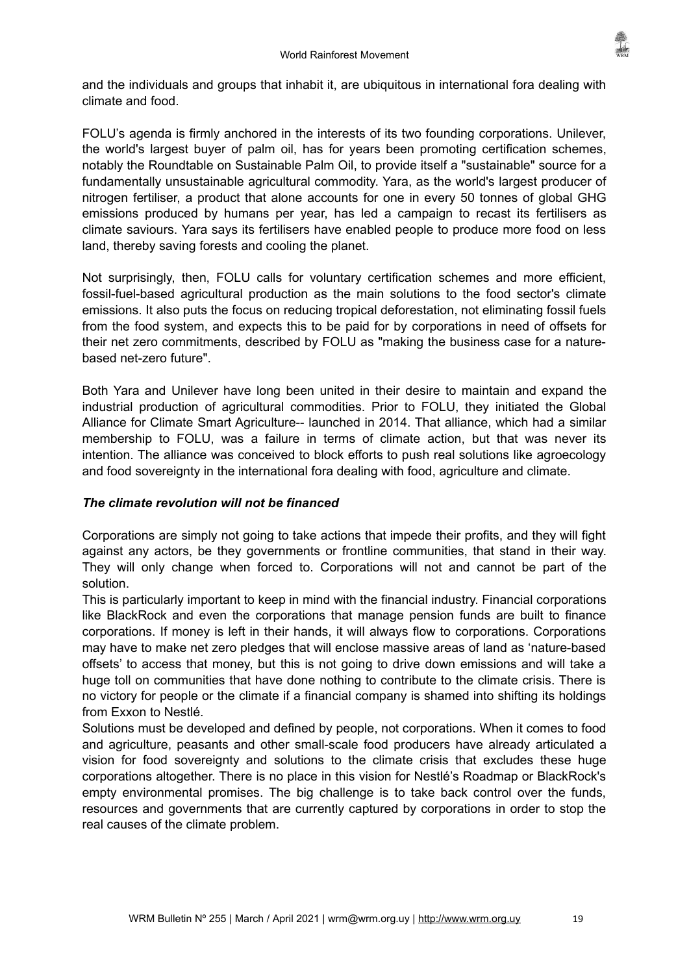

and the individuals and groups that inhabit it, are ubiquitous in international fora dealing with climate and food.

FOLU's agenda is firmly anchored in the interests of its two founding corporations. Unilever, the world's largest buyer of palm oil, has for years been promoting certification schemes, notably the Roundtable on Sustainable Palm Oil, to provide itself a "sustainable" source for a fundamentally unsustainable agricultural commodity. Yara, as the world's largest producer of nitrogen fertiliser, a product that alone accounts for one in every 50 tonnes of global GHG emissions produced by humans per year, has led a campaign to recast its fertilisers as climate saviours. Yara says its fertilisers have enabled people to produce more food on less land, thereby saving forests and cooling the planet.

Not surprisingly, then, FOLU calls for voluntary certification schemes and more efficient, fossil-fuel-based agricultural production as the main solutions to the food sector's climate emissions. It also puts the focus on reducing tropical deforestation, not eliminating fossil fuels from the food system, and expects this to be paid for by corporations in need of offsets for their net zero commitments, described by FOLU as "making the business case for a naturebased net-zero future".

Both Yara and Unilever have long been united in their desire to maintain and expand the industrial production of agricultural commodities. Prior to FOLU, they initiated the Global Alliance for Climate Smart Agriculture-- launched in 2014. That alliance, which had a similar membership to FOLU, was a failure in terms of climate action, but that was never its intention. The alliance was conceived to block efforts to push real solutions like agroecology and food sovereignty in the international fora dealing with food, agriculture and climate.

# *The climate revolution will not be financed*

Corporations are simply not going to take actions that impede their profits, and they will fight against any actors, be they governments or frontline communities, that stand in their way. They will only change when forced to. Corporations will not and cannot be part of the solution.

This is particularly important to keep in mind with the financial industry. Financial corporations like BlackRock and even the corporations that manage pension funds are built to finance corporations. If money is left in their hands, it will always flow to corporations. Corporations may have to make net zero pledges that will enclose massive areas of land as 'nature-based offsets' to access that money, but this is not going to drive down emissions and will take a huge toll on communities that have done nothing to contribute to the climate crisis. There is no victory for people or the climate if a financial company is shamed into shifting its holdings from Exxon to Nestlé.

Solutions must be developed and defined by people, not corporations. When it comes to food and agriculture, peasants and other small-scale food producers have already articulated a vision for food sovereignty and solutions to the climate crisis that excludes these huge corporations altogether. There is no place in this vision for Nestlé's Roadmap or BlackRock's empty environmental promises. The big challenge is to take back control over the funds, resources and governments that are currently captured by corporations in order to stop the real causes of the climate problem.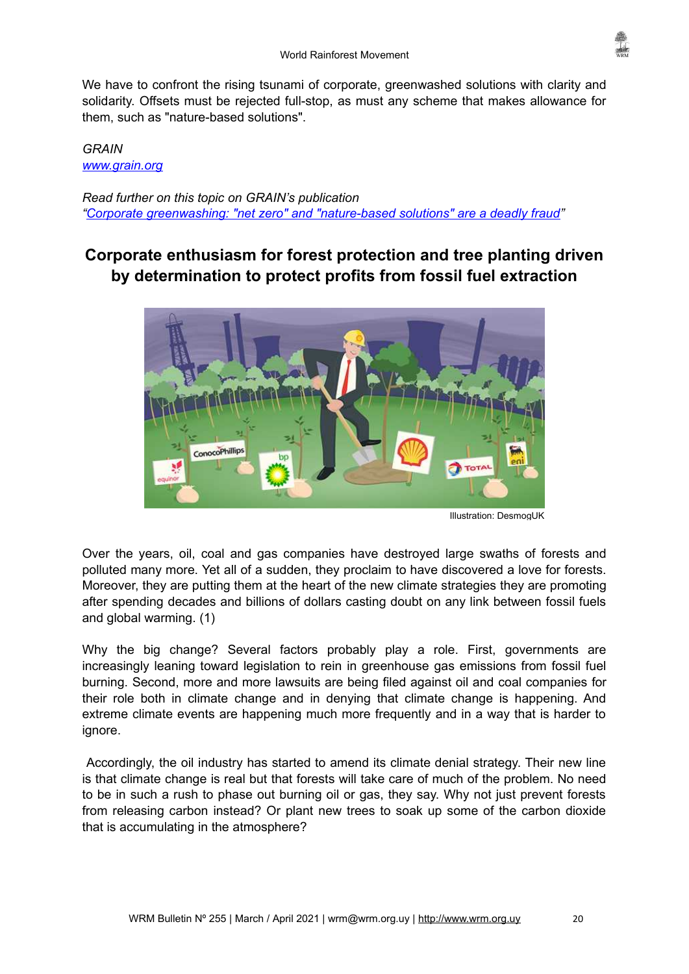

We have to confront the rising tsunami of corporate, greenwashed solutions with clarity and solidarity. Offsets must be rejected full-stop, as must any scheme that makes allowance for them, such as "nature-based solutions".

# *GRAIN [www.grain.org](http://www.grain.org/)*

*Read further on this topic on GRAIN's publication ["Corporate greenwashing: "net zero" and "nature-based solutions" are a deadly fraud](https://grain.org/en/article/6634-corporate-greenwashing-net-zero-and-nature-based-solutions-are-a-deadly-fraud)"*

# <span id="page-19-0"></span>**Corporate enthusiasm for forest protection and tree planting driven by determination to protect profits from fossil fuel extraction**



Illustration: DesmogUK

Over the years, oil, coal and gas companies have destroyed large swaths of forests and polluted many more. Yet all of a sudden, they proclaim to have discovered a love for forests. Moreover, they are putting them at the heart of the new climate strategies they are promoting after spending decades and billions of dollars casting doubt on any link between fossil fuels and global warming. (1)

Why the big change? Several factors probably play a role. First, governments are increasingly leaning toward legislation to rein in greenhouse gas emissions from fossil fuel burning. Second, more and more lawsuits are being filed against oil and coal companies for their role both in climate change and in denying that climate change is happening. And extreme climate events are happening much more frequently and in a way that is harder to ignore.

Accordingly, the oil industry has started to amend its climate denial strategy. Their new line is that climate change is real but that forests will take care of much of the problem. No need to be in such a rush to phase out burning oil or gas, they say. Why not just prevent forests from releasing carbon instead? Or plant new trees to soak up some of the carbon dioxide that is accumulating in the atmosphere?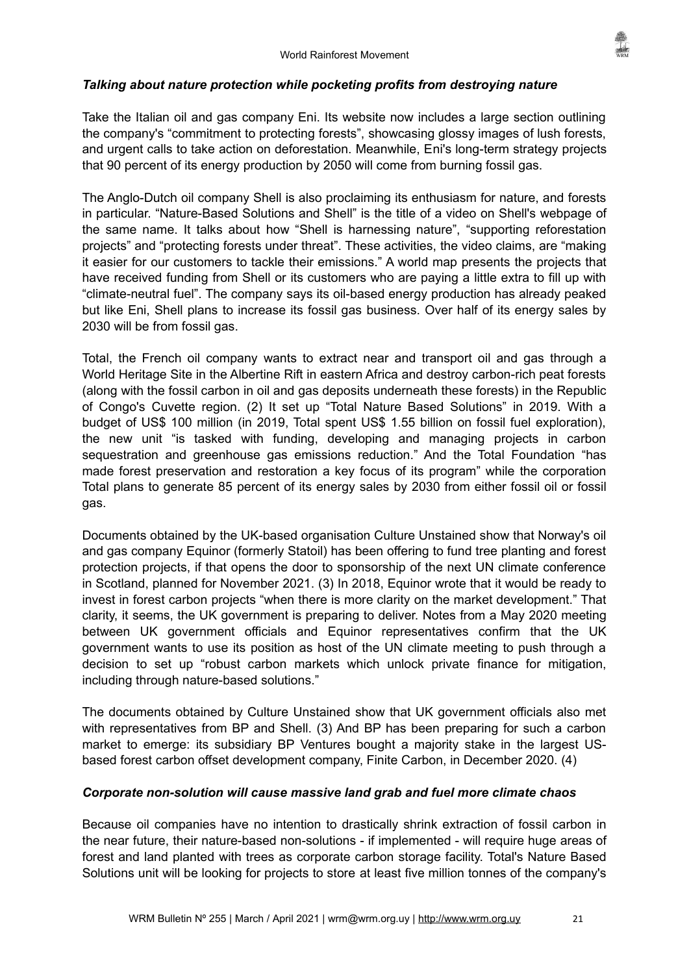

### *Talking about nature protection while pocketing profits from destroying nature*

Take the Italian oil and gas company Eni. Its website now includes a large section outlining the company's "commitment to protecting forests", showcasing glossy images of lush forests, and urgent calls to take action on deforestation. Meanwhile, Eni's long-term strategy projects that 90 percent of its energy production by 2050 will come from burning fossil gas.

The Anglo-Dutch oil company Shell is also proclaiming its enthusiasm for nature, and forests in particular. "Nature-Based Solutions and Shell" is the title of a video on Shell's webpage of the same name. It talks about how "Shell is harnessing nature", "supporting reforestation projects" and "protecting forests under threat". These activities, the video claims, are "making it easier for our customers to tackle their emissions." A world map presents the projects that have received funding from Shell or its customers who are paying a little extra to fill up with "climate-neutral fuel". The company says its oil-based energy production has already peaked but like Eni, Shell plans to increase its fossil gas business. Over half of its energy sales by 2030 will be from fossil gas.

Total, the French oil company wants to extract near and transport oil and gas through a World Heritage Site in the Albertine Rift in eastern Africa and destroy carbon-rich peat forests (along with the fossil carbon in oil and gas deposits underneath these forests) in the Republic of Congo's Cuvette region. (2) It set up "Total Nature Based Solutions" in 2019. With a budget of US\$ 100 million (in 2019, Total spent US\$ 1.55 billion on fossil fuel exploration), the new unit "is tasked with funding, developing and managing projects in carbon sequestration and greenhouse gas emissions reduction." And the Total Foundation "has made forest preservation and restoration a key focus of its program" while the corporation Total plans to generate 85 percent of its energy sales by 2030 from either fossil oil or fossil gas.

Documents obtained by the UK-based organisation Culture Unstained show that Norway's oil and gas company Equinor (formerly Statoil) has been offering to fund tree planting and forest protection projects, if that opens the door to sponsorship of the next UN climate conference in Scotland, planned for November 2021. (3) In 2018, Equinor wrote that it would be ready to invest in forest carbon projects "when there is more clarity on the market development." That clarity, it seems, the UK government is preparing to deliver. Notes from a May 2020 meeting between UK government officials and Equinor representatives confirm that the UK government wants to use its position as host of the UN climate meeting to push through a decision to set up "robust carbon markets which unlock private finance for mitigation, including through nature-based solutions."

The documents obtained by Culture Unstained show that UK government officials also met with representatives from BP and Shell. (3) And BP has been preparing for such a carbon market to emerge: its subsidiary BP Ventures bought a majority stake in the largest USbased forest carbon offset development company, Finite Carbon, in December 2020. (4)

#### *Corporate non-solution will cause massive land grab and fuel more climate chaos*

Because oil companies have no intention to drastically shrink extraction of fossil carbon in the near future, their nature-based non-solutions - if implemented - will require huge areas of forest and land planted with trees as corporate carbon storage facility. Total's Nature Based Solutions unit will be looking for projects to store at least five million tonnes of the company's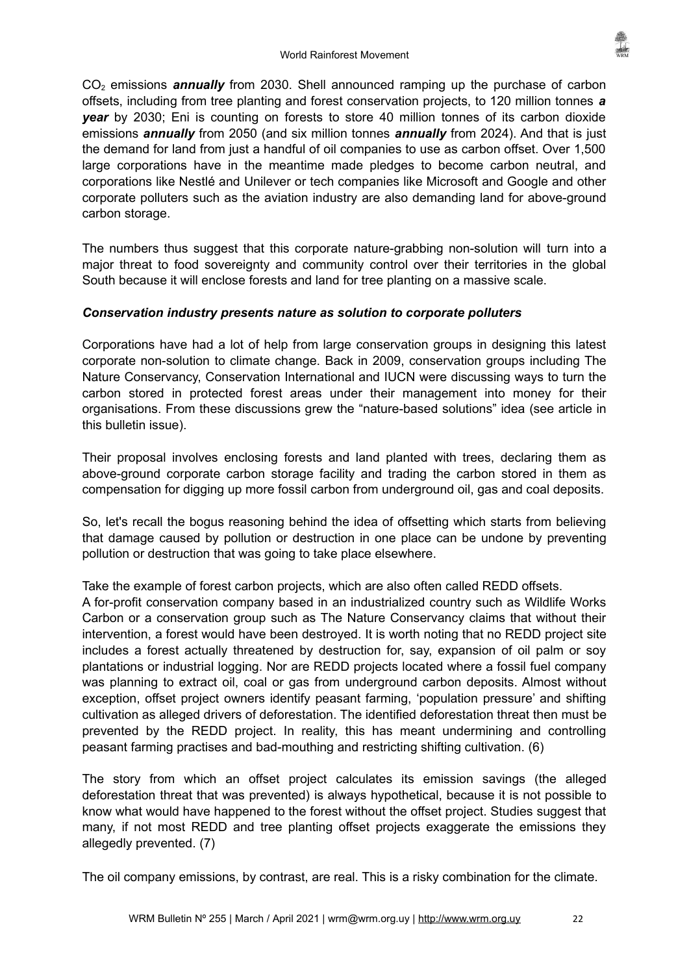CO<sub>2</sub> emissions **annually** from 2030. Shell announced ramping up the purchase of carbon offsets, including from tree planting and forest conservation projects, to 120 million tonnes *a year* by 2030; Eni is counting on forests to store 40 million tonnes of its carbon dioxide emissions *annually* from 2050 (and six million tonnes *annually* from 2024). And that is just the demand for land from just a handful of oil companies to use as carbon offset. Over 1,500 large corporations have in the meantime made pledges to become carbon neutral, and corporations like Nestlé and Unilever or tech companies like Microsoft and Google and other corporate polluters such as the aviation industry are also demanding land for above-ground carbon storage.

The numbers thus suggest that this corporate nature-grabbing non-solution will turn into a major threat to food sovereignty and community control over their territories in the global South because it will enclose forests and land for tree planting on a massive scale.

# *Conservation industry presents nature as solution to corporate polluters*

Corporations have had a lot of help from large conservation groups in designing this latest corporate non-solution to climate change. Back in 2009, conservation groups including The Nature Conservancy, Conservation International and IUCN were discussing ways to turn the carbon stored in protected forest areas under their management into money for their organisations. From these discussions grew the "nature-based solutions" idea (see article in this bulletin issue).

Their proposal involves enclosing forests and land planted with trees, declaring them as above-ground corporate carbon storage facility and trading the carbon stored in them as compensation for digging up more fossil carbon from underground oil, gas and coal deposits.

So, let's recall the bogus reasoning behind the idea of offsetting which starts from believing that damage caused by pollution or destruction in one place can be undone by preventing pollution or destruction that was going to take place elsewhere.

Take the example of forest carbon projects, which are also often called REDD offsets.

A for-profit conservation company based in an industrialized country such as Wildlife Works Carbon or a conservation group such as The Nature Conservancy claims that without their intervention, a forest would have been destroyed. It is worth noting that no REDD project site includes a forest actually threatened by destruction for, say, expansion of oil palm or soy plantations or industrial logging. Nor are REDD projects located where a fossil fuel company was planning to extract oil, coal or gas from underground carbon deposits. Almost without exception, offset project owners identify peasant farming, 'population pressure' and shifting cultivation as alleged drivers of deforestation. The identified deforestation threat then must be prevented by the REDD project. In reality, this has meant undermining and controlling peasant farming practises and bad-mouthing and restricting shifting cultivation. (6)

The story from which an offset project calculates its emission savings (the alleged deforestation threat that was prevented) is always hypothetical, because it is not possible to know what would have happened to the forest without the offset project. Studies suggest that many, if not most REDD and tree planting offset projects exaggerate the emissions they allegedly prevented. (7)

The oil company emissions, by contrast, are real. This is a risky combination for the climate.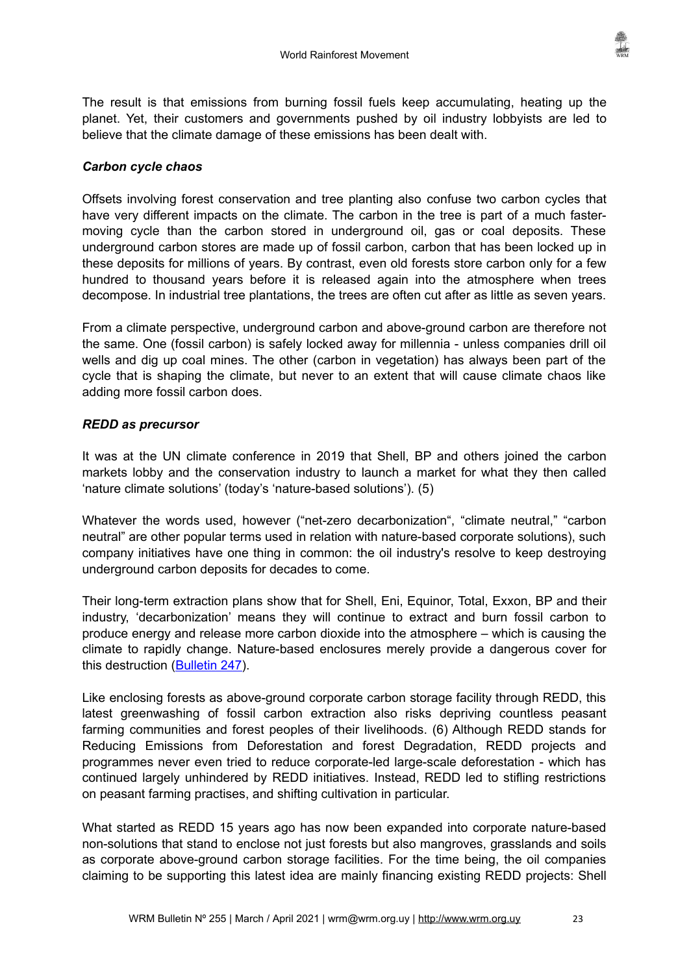

The result is that emissions from burning fossil fuels keep accumulating, heating up the planet. Yet, their customers and governments pushed by oil industry lobbyists are led to believe that the climate damage of these emissions has been dealt with.

# *Carbon cycle chaos*

Offsets involving forest conservation and tree planting also confuse two carbon cycles that have very different impacts on the climate. The carbon in the tree is part of a much fastermoving cycle than the carbon stored in underground oil, gas or coal deposits. These underground carbon stores are made up of fossil carbon, carbon that has been locked up in these deposits for millions of years. By contrast, even old forests store carbon only for a few hundred to thousand years before it is released again into the atmosphere when trees decompose. In industrial tree plantations, the trees are often cut after as little as seven years.

From a climate perspective, underground carbon and above-ground carbon are therefore not the same. One (fossil carbon) is safely locked away for millennia - unless companies drill oil wells and dig up coal mines. The other (carbon in vegetation) has always been part of the cycle that is shaping the climate, but never to an extent that will cause climate chaos like adding more fossil carbon does.

# *REDD as precursor*

It was at the UN climate conference in 2019 that Shell, BP and others joined the carbon markets lobby and the conservation industry to launch a market for what they then called 'nature climate solutions' (today's 'nature-based solutions'). (5)

Whatever the words used, however ("net-zero decarbonization", "climate neutral," "carbon neutral" are other popular terms used in relation with nature-based corporate solutions), such company initiatives have one thing in common: the oil industry's resolve to keep destroying underground carbon deposits for decades to come.

Their long-term extraction plans show that for Shell, Eni, Equinor, Total, Exxon, BP and their industry, 'decarbonization' means they will continue to extract and burn fossil carbon to produce energy and release more carbon dioxide into the atmosphere – which is causing the climate to rapidly change. Nature-based enclosures merely provide a dangerous cover for this destruction ([Bulletin 247](https://wrm.org.uy/articles-from-the-wrm-bulletin/section1/new-name-for-old-distraction-nature-based-solutions-is-the-new-redd/%20)).

Like enclosing forests as above-ground corporate carbon storage facility through REDD, this latest greenwashing of fossil carbon extraction also risks depriving countless peasant farming communities and forest peoples of their livelihoods. (6) Although REDD stands for Reducing Emissions from Deforestation and forest Degradation, REDD projects and programmes never even tried to reduce corporate-led large-scale deforestation - which has continued largely unhindered by REDD initiatives. Instead, REDD led to stifling restrictions on peasant farming practises, and shifting cultivation in particular.

What started as REDD 15 years ago has now been expanded into corporate nature-based non-solutions that stand to enclose not just forests but also mangroves, grasslands and soils as corporate above-ground carbon storage facilities. For the time being, the oil companies claiming to be supporting this latest idea are mainly financing existing REDD projects: Shell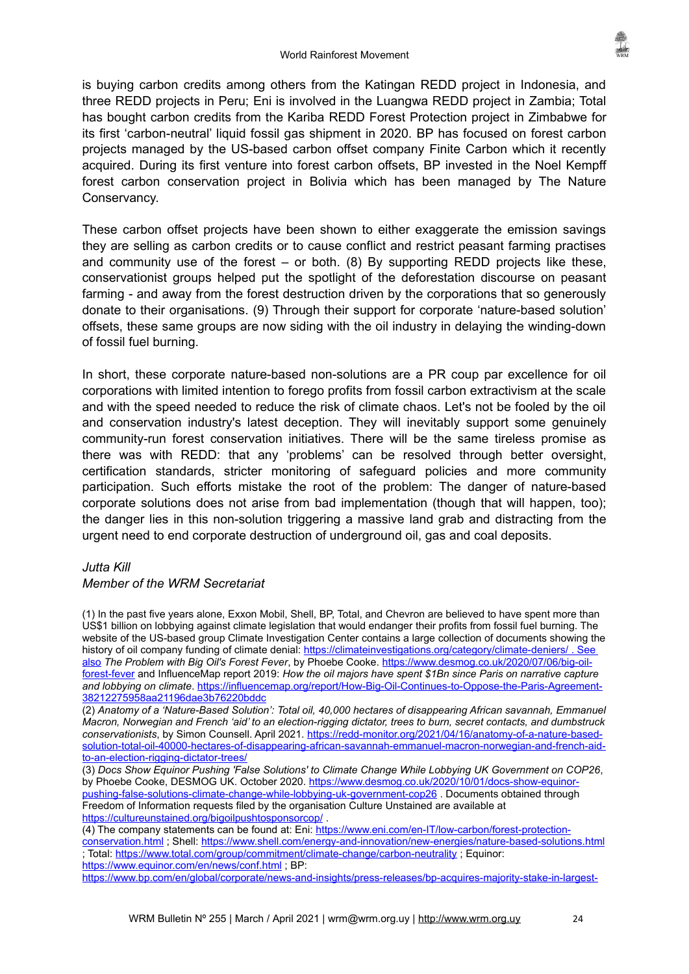is buying carbon credits among others from the Katingan REDD project in Indonesia, and three REDD projects in Peru; Eni is involved in the Luangwa REDD project in Zambia; Total has bought carbon credits from the Kariba REDD Forest Protection project in Zimbabwe for its first 'carbon-neutral' liquid fossil gas shipment in 2020. BP has focused on forest carbon projects managed by the US-based carbon offset company Finite Carbon which it recently acquired. During its first venture into forest carbon offsets, BP invested in the Noel Kempff forest carbon conservation project in Bolivia which has been managed by The Nature Conservancy.

These carbon offset projects have been shown to either exaggerate the emission savings they are selling as carbon credits or to cause conflict and restrict peasant farming practises and community use of the forest  $-$  or both. (8) By supporting REDD projects like these, conservationist groups helped put the spotlight of the deforestation discourse on peasant farming - and away from the forest destruction driven by the corporations that so generously donate to their organisations. (9) Through their support for corporate 'nature-based solution' offsets, these same groups are now siding with the oil industry in delaying the winding-down of fossil fuel burning.

In short, these corporate nature-based non-solutions are a PR coup par excellence for oil corporations with limited intention to forego profits from fossil carbon extractivism at the scale and with the speed needed to reduce the risk of climate chaos. Let's not be fooled by the oil and conservation industry's latest deception. They will inevitably support some genuinely community-run forest conservation initiatives. There will be the same tireless promise as there was with REDD: that any 'problems' can be resolved through better oversight, certification standards, stricter monitoring of safeguard policies and more community participation. Such efforts mistake the root of the problem: The danger of nature-based corporate solutions does not arise from bad implementation (though that will happen, too); the danger lies in this non-solution triggering a massive land grab and distracting from the urgent need to end corporate destruction of underground oil, gas and coal deposits.

#### *Jutta Kill*

#### *Member of the WRM Secretariat*

(1) In the past five years alone, Exxon Mobil, Shell, BP, Total, and Chevron are believed to have spent more than US\$1 billion on lobbying against climate legislation that would endanger their profits from fossil fuel burning. The website of the US-based group Climate Investigation Center contains a large collection of documents showing the history of oil company funding of climate denial:<https://climateinvestigations.org/category/climate-deniers/> . See also *The Problem with Big Oil's Forest Fever*, by Phoebe Cooke. [https://www.desmog.co.uk/2020/07/06/big-oil](https://www.desmog.co.uk/2020/07/06/big-oil-forest-fever)[forest-fever](https://www.desmog.co.uk/2020/07/06/big-oil-forest-fever) and InfluenceMap report 2019: *How the oil majors have spent \$1Bn since Paris on narrative capture and lobbying on climate*. [https://influencemap.org/report/How-Big-Oil-Continues-to-Oppose-the-Paris-Agreement-](https://influencemap.org/report/How-Big-Oil-Continues-to-Oppose-the-Paris-Agreement-38212275958aa21196dae3b76220bddc)[38212275958aa21196dae3b76220bddc](https://influencemap.org/report/How-Big-Oil-Continues-to-Oppose-the-Paris-Agreement-38212275958aa21196dae3b76220bddc)

(2) *Anatomy of a 'Nature-Based Solution': Total oil, 40,000 hectares of disappearing African savannah, Emmanuel Macron, Norwegian and French 'aid' to an election-rigging dictator, trees to burn, secret contacts, and dumbstruck conservationists*, by Simon Counsell. April 2021. [https://redd-monitor.org/2021/04/16/anatomy-of-a-nature-based](https://redd-monitor.org/2021/04/16/anatomy-of-a-nature-based-solution-total-oil-40000-hectares-of-disappearing-african-savannah-emmanuel-macron-norwegian-and-french-aid-to-an-election-rigging-dictator-trees/)[solution-total-oil-40000-hectares-of-disappearing-african-savannah-emmanuel-macron-norwegian-and-french-aid](https://redd-monitor.org/2021/04/16/anatomy-of-a-nature-based-solution-total-oil-40000-hectares-of-disappearing-african-savannah-emmanuel-macron-norwegian-and-french-aid-to-an-election-rigging-dictator-trees/)[to-an-election-rigging-dictator-trees/](https://redd-monitor.org/2021/04/16/anatomy-of-a-nature-based-solution-total-oil-40000-hectares-of-disappearing-african-savannah-emmanuel-macron-norwegian-and-french-aid-to-an-election-rigging-dictator-trees/)

(3) *Docs Show Equinor Pushing 'False Solutions' to Climate Change While Lobbying UK Government on COP26*, by Phoebe Cooke, DESMOG UK. October 2020. [https://www.desmog.co.uk/2020/10/01/docs-show-equinor](https://www.desmog.co.uk/2020/10/01/docs-show-equinor-pushing-false-solutions-climate-change-while-lobbying-uk-government-cop26)[pushing-false-solutions-climate-change-while-lobbying-uk-government-cop26](https://www.desmog.co.uk/2020/10/01/docs-show-equinor-pushing-false-solutions-climate-change-while-lobbying-uk-government-cop26) . Documents obtained through Freedom of Information requests filed by the organisation Culture Unstained are available at <https://cultureunstained.org/bigoilpushtosponsorcop/> .

(4) The company statements can be found at: Eni: [https://www.eni.com/en-IT/low-carbon/forest-protection](https://www.eni.com/en-IT/low-carbon/forest-protection-conservation.html)[conservation.html](https://www.eni.com/en-IT/low-carbon/forest-protection-conservation.html) ; Shell: <https://www.shell.com/energy-and-innovation/new-energies/nature-based-solutions.html> ; Total: <https://www.total.com/group/commitment/climate-change/carbon-neutrality> ; Equinor: <https://www.equinor.com/en/news/conf.html>; BP:

[https://www.bp.com/en/global/corporate/news-and-insights/press-releases/bp-acquires-majority-stake-in-largest-](https://www.bp.com/en/global/corporate/news-and-insights/press-releases/bp-acquires-majority-stake-in-largest-us-forest-carbon-offset-developer-finite-carbon.html)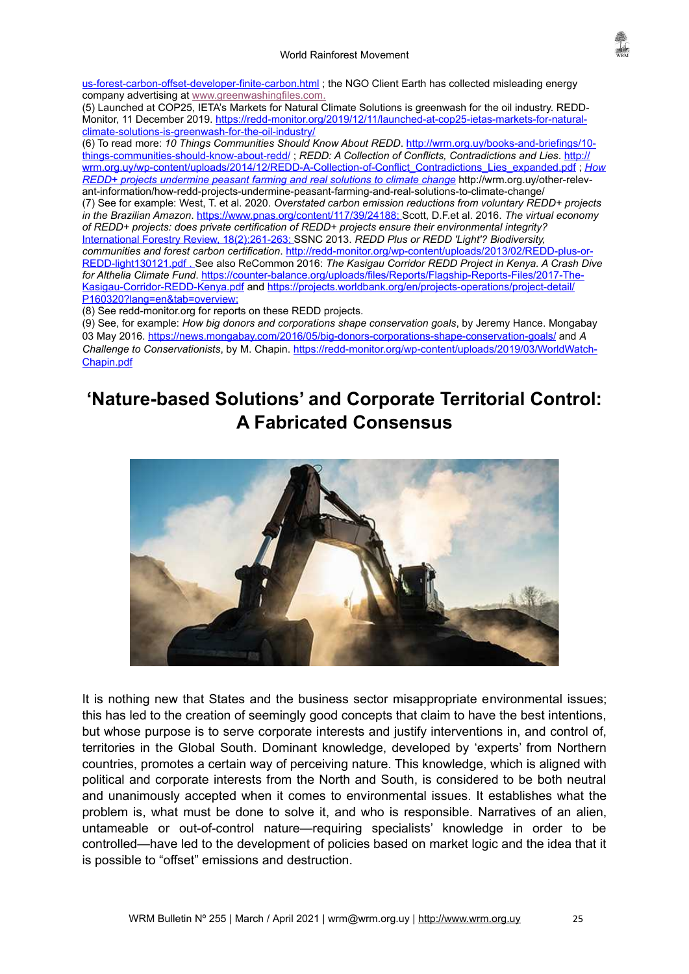

[us-forest-carbon-offset-developer-finite-carbon.html](https://www.bp.com/en/global/corporate/news-and-insights/press-releases/bp-acquires-majority-stake-in-largest-us-forest-carbon-offset-developer-finite-carbon.html) ; the NGO Client Earth has collected misleading energy company advertising at [www.greenwashingfiles.com](http://www.greenwashingfiles.com/).

(5) Launched at COP25, IETA's Markets for Natural Climate Solutions is greenwash for the oil industry. REDDMonitor, 11 December 2019. [https://redd-monitor.org/2019/12/11/launched-at-cop25-ietas-markets-for-natural](https://redd-monitor.org/2019/12/11/launched-at-cop25-ietas-markets-for-natural-climate-solutions-is-greenwash-for-the-oil-industry/)[climate-solutions-is-greenwash-for-the-oil-industry/](https://redd-monitor.org/2019/12/11/launched-at-cop25-ietas-markets-for-natural-climate-solutions-is-greenwash-for-the-oil-industry/)

(6) To read more: *10 Things Communities Should Know About REDD*. [http://wrm.org.uy/books-and-briefings/10](http://wrm.org.uy/books-and-briefings/10-things-communities-should-know-about-redd/) [things-communities-should-know-about-redd/](http://wrm.org.uy/books-and-briefings/10-things-communities-should-know-about-redd/) ; *REDD: A Collection of Conflicts, Contradictions and Lies*. [http://](http://wrm.org.uy/wp-content/uploads/2014/12/REDD-A-Collection-of-Conflict_Contradictions_Lies_expanded.pdf) [wrm.org.uy/wp-content/uploads/2014/12/REDD-A-Collection-of-Conflict\\_Contradictions\\_Lies\\_expanded.pdf](http://wrm.org.uy/wp-content/uploads/2014/12/REDD-A-Collection-of-Conflict_Contradictions_Lies_expanded.pdf) ; *[How](https://wrm.org.uy/books-and-briefings/how-redd-projects-undermine-peasant-farming-and-real-solutions-to-climate-change/) [REDD+ projects undermine peasant farming and real solutions to climate change](https://wrm.org.uy/books-and-briefings/how-redd-projects-undermine-peasant-farming-and-real-solutions-to-climate-change/)* http://wrm.org.uy/other-relevant-information/how-redd-projects-undermine-peasant-farming-and-real-solutions-to-climate-change/ (7) See for example: West, T. et al. 2020. *Overstated carbon emission reductions from voluntary REDD+ projects in the Brazilian Amazon*. [https://www.pnas.org/content/117/39/24188 ;](https://www.pnas.org/content/117/39/24188)Scott, D.F.et al. 2016. *The virtual economy of REDD+ projects: does private certification of REDD+ projects ensure their environmental integrity?*  [International Forestry Review, 18\(2\) :](https://bioone.org/journals/international-forestry-review/volume-18/issue-2)261-263; SSNC 2013. *REDD Plus or REDD 'Light'? Biodiversity, communities and forest carbon certification*. [http://redd-monitor.org/wp-content/uploads/2013/02/RED D-plus-or-](http://redd-monitor.org/wp-content/uploads/2013/02/REDD-plus-or-REDD-light130121.pdf)  [REDD-light130121.pdf](http://redd-monitor.org/wp-content/uploads/2013/02/REDD-plus-or-REDD-light130121.pdf) . See also ReCommon 2016: *The Kasigau Corridor REDD Project in Kenya. A Crash Dive for Althelia Climate Fund*. [https://counter-balance.org/uploads/files/Reports/Flagship-Reports-Files/2017-The-](https://counter-balance.org/uploads/files/Reports/Flagship-Reports-Files/2017-The-Kasigau-Corridor-REDD-Kenya.pdf)[Kasigau-Corridor-REDD-Kenya.pdf](https://counter-balance.org/uploads/files/Reports/Flagship-Reports-Files/2017-The-Kasigau-Corridor-REDD-Kenya.pdf) and [https://projects.worldbank.org/en/projects-operations/project-detail/](https://projects.worldbank.org/en/projects-operations/project-detail/P160320?lang=en&tab=overview)  [P160320?lang=en&tab=overview;](https://projects.worldbank.org/en/projects-operations/project-detail/P160320?lang=en&tab=overview)

(8) See redd-monitor.org for reports on these REDD projects.

(9) See, for example: *How big donors and corporations shape conservation goals*, by Jeremy Hance. Mongabay 03 May 2016. <https://news.mongabay.com/2016/05/big-donors-corporations-shape-conservation-goals/>and *A Challenge to Conservationists*, by M. Chapin. [https://redd-monitor.org/wp-content/uploads/2019/03/WorldWatch-](https://redd-monitor.org/wp-content/uploads/2019/03/WorldWatch-Chapin.pdf)[Chapin.pdf](https://redd-monitor.org/wp-content/uploads/2019/03/WorldWatch-Chapin.pdf)

# <span id="page-24-0"></span>**'Nature-based Solutions' and Corporate Territorial Control: A Fabricated Consensus**



It is nothing new that States and the business sector misappropriate environmental issues; this has led to the creation of seemingly good concepts that claim to have the best intentions, but whose purpose is to serve corporate interests and justify interventions in, and control of, territories in the Global South. Dominant knowledge, developed by 'experts' from Northern countries, promotes a certain way of perceiving nature. This knowledge, which is aligned with political and corporate interests from the North and South, is considered to be both neutral and unanimously accepted when it comes to environmental issues. It establishes what the problem is, what must be done to solve it, and who is responsible. Narratives of an alien, untameable or out-of-control nature—requiring specialists' knowledge in order to be controlled—have led to the development of policies based on market logic and the idea that it is possible to "offset" emissions and destruction.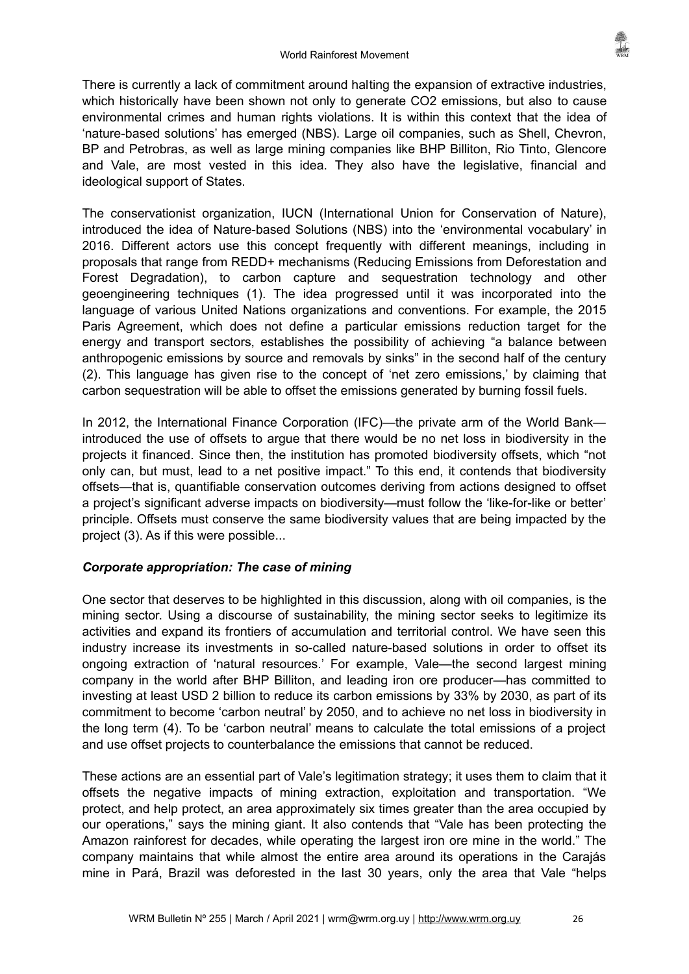There is currently a lack of commitment around halting the expansion of extractive industries, which historically have been shown not only to generate CO2 emissions, but also to cause environmental crimes and human rights violations. It is within this context that the idea of 'nature-based solutions' has emerged (NBS). Large oil companies, such as Shell, Chevron, BP and Petrobras, as well as large mining companies like BHP Billiton, Rio Tinto, Glencore and Vale, are most vested in this idea. They also have the legislative, financial and ideological support of States.

The conservationist organization, IUCN (International Union for Conservation of Nature), introduced the idea of Nature-based Solutions (NBS) into the 'environmental vocabulary' in 2016. Different actors use this concept frequently with different meanings, including in proposals that range from REDD+ mechanisms (Reducing Emissions from Deforestation and Forest Degradation), to carbon capture and sequestration technology and other geoengineering techniques (1). The idea progressed until it was incorporated into the language of various United Nations organizations and conventions. For example, the 2015 Paris Agreement, which does not define a particular emissions reduction target for the energy and transport sectors, establishes the possibility of achieving "a balance between anthropogenic emissions by source and removals by sinks" in the second half of the century (2). This language has given rise to the concept of 'net zero emissions,' by claiming that carbon sequestration will be able to offset the emissions generated by burning fossil fuels.

In 2012, the International Finance Corporation (IFC)—the private arm of the World Bank introduced the use of offsets to argue that there would be no net loss in biodiversity in the projects it financed. Since then, the institution has promoted biodiversity offsets, which "not only can, but must, lead to a net positive impact." To this end, it contends that biodiversity offsets—that is, quantifiable conservation outcomes deriving from actions designed to offset a project's significant adverse impacts on biodiversity—must follow the 'like-for-like or better' principle. Offsets must conserve the same biodiversity values that are being impacted by the project (3). As if this were possible...

# *Corporate appropriation: The case of mining*

One sector that deserves to be highlighted in this discussion, along with oil companies, is the mining sector. Using a discourse of sustainability, the mining sector seeks to legitimize its activities and expand its frontiers of accumulation and territorial control. We have seen this industry increase its investments in so-called nature-based solutions in order to offset its ongoing extraction of 'natural resources.' For example, Vale—the second largest mining company in the world after BHP Billiton, and leading iron ore producer—has committed to investing at least USD 2 billion to reduce its carbon emissions by 33% by 2030, as part of its commitment to become 'carbon neutral' by 2050, and to achieve no net loss in biodiversity in the long term (4). To be 'carbon neutral' means to calculate the total emissions of a project and use offset projects to counterbalance the emissions that cannot be reduced.

These actions are an essential part of Vale's legitimation strategy; it uses them to claim that it offsets the negative impacts of mining extraction, exploitation and transportation. "We protect, and help protect, an area approximately six times greater than the area occupied by our operations," says the mining giant. It also contends that "Vale has been protecting the Amazon rainforest for decades, while operating the largest iron ore mine in the world." The company maintains that while almost the entire area around its operations in the Carajás mine in Pará, Brazil was deforested in the last 30 years, only the area that Vale "helps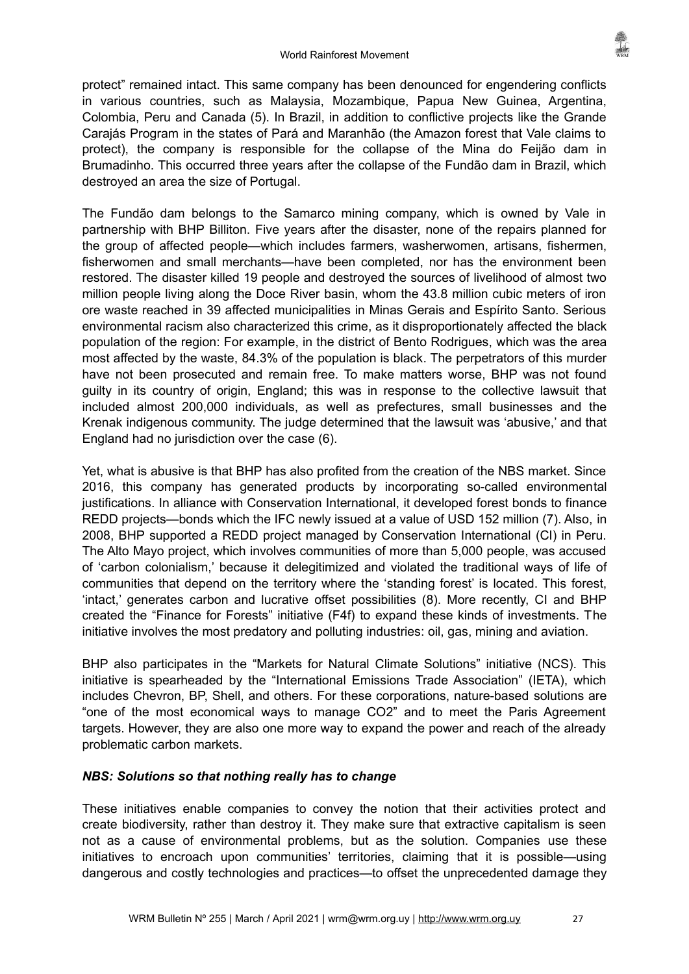protect" remained intact. This same company has been denounced for engendering conflicts in various countries, such as Malaysia, Mozambique, Papua New Guinea, Argentina, Colombia, Peru and Canada (5). In Brazil, in addition to conflictive projects like the Grande Carajás Program in the states of Pará and Maranhão (the Amazon forest that Vale claims to protect), the company is responsible for the collapse of the Mina do Feijão dam in Brumadinho. This occurred three years after the collapse of the Fundão dam in Brazil, which destroyed an area the size of Portugal.

The Fundão dam belongs to the Samarco mining company, which is owned by Vale in partnership with BHP Billiton. Five years after the disaster, none of the repairs planned for the group of affected people—which includes farmers, washerwomen, artisans, fishermen, fisherwomen and small merchants—have been completed, nor has the environment been restored. The disaster killed 19 people and destroyed the sources of livelihood of almost two million people living along the Doce River basin, whom the 43.8 million cubic meters of iron ore waste reached in 39 affected municipalities in Minas Gerais and Espírito Santo. Serious environmental racism also characterized this crime, as it disproportionately affected the black population of the region: For example, in the district of Bento Rodrigues, which was the area most affected by the waste, 84.3% of the population is black. The perpetrators of this murder have not been prosecuted and remain free. To make matters worse, BHP was not found guilty in its country of origin, England; this was in response to the collective lawsuit that included almost 200,000 individuals, as well as prefectures, small businesses and the Krenak indigenous community. The judge determined that the lawsuit was 'abusive,' and that England had no jurisdiction over the case (6).

Yet, what is abusive is that BHP has also profited from the creation of the NBS market. Since 2016, this company has generated products by incorporating so-called environmental justifications. In alliance with Conservation International, it developed forest bonds to finance REDD projects—bonds which the IFC newly issued at a value of USD 152 million (7). Also, in 2008, BHP supported a REDD project managed by Conservation International (CI) in Peru. The Alto Mayo project, which involves communities of more than 5,000 people, was accused of 'carbon colonialism,' because it delegitimized and violated the traditional ways of life of communities that depend on the territory where the 'standing forest' is located. This forest, 'intact,' generates carbon and lucrative offset possibilities (8). More recently, CI and BHP created the "Finance for Forests" initiative (F4f) to expand these kinds of investments. The initiative involves the most predatory and polluting industries: oil, gas, mining and aviation.

BHP also participates in the "Markets for Natural Climate Solutions" initiative (NCS). This initiative is spearheaded by the "International Emissions Trade Association" (IETA), which includes Chevron, BP, Shell, and others. For these corporations, nature-based solutions are "one of the most economical ways to manage CO2" and to meet the Paris Agreement targets. However, they are also one more way to expand the power and reach of the already problematic carbon markets.

# *NBS: Solutions so that nothing really has to change*

These initiatives enable companies to convey the notion that their activities protect and create biodiversity, rather than destroy it. They make sure that extractive capitalism is seen not as a cause of environmental problems, but as the solution. Companies use these initiatives to encroach upon communities' territories, claiming that it is possible—using dangerous and costly technologies and practices—to offset the unprecedented damage they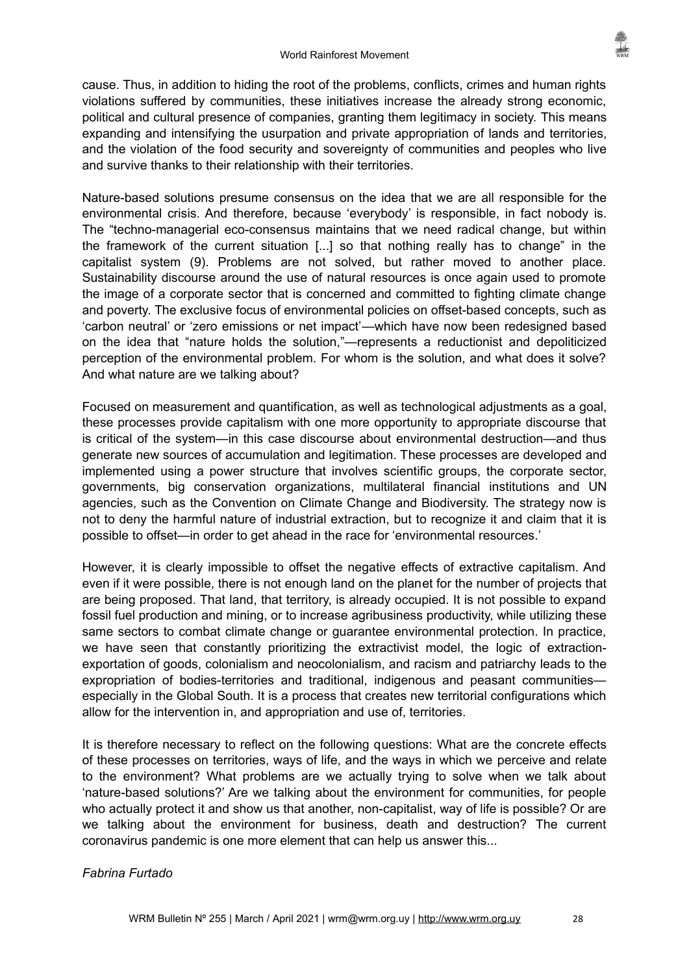cause. Thus, in addition to hiding the root of the problems, conflicts, crimes and human rights violations suffered by communities, these initiatives increase the already strong economic, political and cultural presence of companies, granting them legitimacy in society. This means expanding and intensifying the usurpation and private appropriation of lands and territories, and the violation of the food security and sovereignty of communities and peoples who live and survive thanks to their relationship with their territories.

Nature-based solutions presume consensus on the idea that we are all responsible for the environmental crisis. And therefore, because 'everybody' is responsible, in fact nobody is. The "techno-managerial eco-consensus maintains that we need radical change, but within the framework of the current situation [...] so that nothing really has to change" in the capitalist system (9). Problems are not solved, but rather moved to another place. Sustainability discourse around the use of natural resources is once again used to promote the image of a corporate sector that is concerned and committed to fighting climate change and poverty. The exclusive focus of environmental policies on offset-based concepts, such as 'carbon neutral' or 'zero emissions or net impact'—which have now been redesigned based on the idea that "nature holds the solution,"—represents a reductionist and depoliticized perception of the environmental problem. For whom is the solution, and what does it solve? And what nature are we talking about?

Focused on measurement and quantification, as well as technological adjustments as a goal, these processes provide capitalism with one more opportunity to appropriate discourse that is critical of the system—in this case discourse about environmental destruction—and thus generate new sources of accumulation and legitimation. These processes are developed and implemented using a power structure that involves scientific groups, the corporate sector, governments, big conservation organizations, multilateral financial institutions and UN agencies, such as the Convention on Climate Change and Biodiversity. The strategy now is not to deny the harmful nature of industrial extraction, but to recognize it and claim that it is possible to offset—in order to get ahead in the race for 'environmental resources.'

However, it is clearly impossible to offset the negative effects of extractive capitalism. And even if it were possible, there is not enough land on the planet for the number of projects that are being proposed. That land, that territory, is already occupied. It is not possible to expand fossil fuel production and mining, or to increase agribusiness productivity, while utilizing these same sectors to combat climate change or guarantee environmental protection. In practice, we have seen that constantly prioritizing the extractivist model, the logic of extractionexportation of goods, colonialism and neocolonialism, and racism and patriarchy leads to the expropriation of bodies-territories and traditional, indigenous and peasant communities especially in the Global South. It is a process that creates new territorial configurations which allow for the intervention in, and appropriation and use of, territories.

It is therefore necessary to reflect on the following questions: What are the concrete effects of these processes on territories, ways of life, and the ways in which we perceive and relate to the environment? What problems are we actually trying to solve when we talk about 'nature-based solutions?' Are we talking about the environment for communities, for people who actually protect it and show us that another, non-capitalist, way of life is possible? Or are we talking about the environment for business, death and destruction? The current coronavirus pandemic is one more element that can help us answer this...

# *Fabrina Furtado*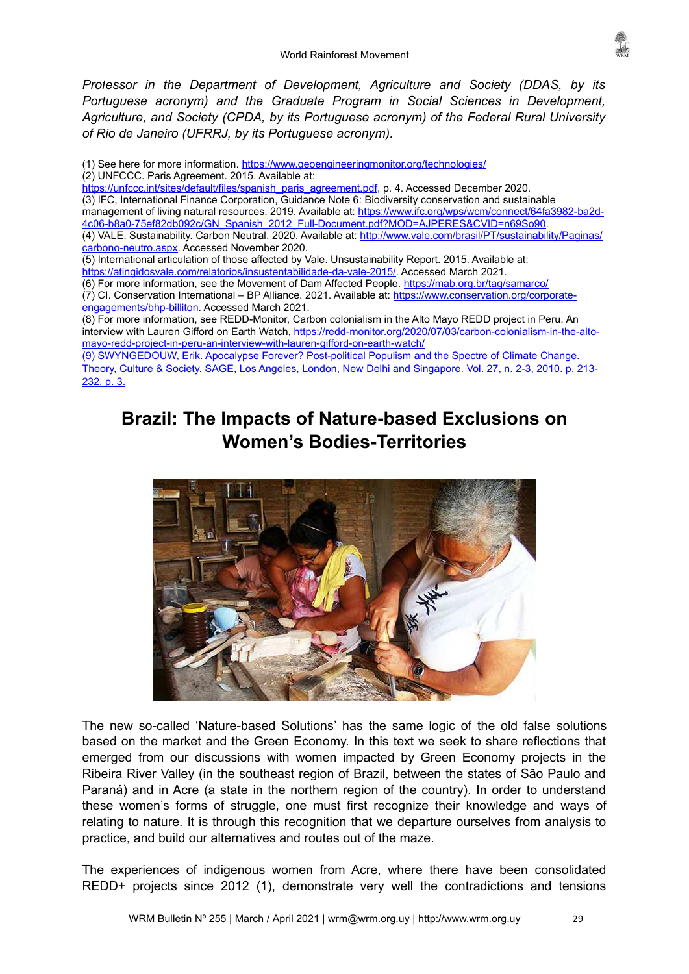

*Professor in the Department of Development, Agriculture and Society (DDAS, by its Portuguese acronym) and the Graduate Program in Social Sciences in Development, Agriculture, and Society (CPDA, by its Portuguese acronym) of the Federal Rural University of Rio de Janeiro (UFRRJ, by its Portuguese acronym).* 

(1) See here for more information.<https://www.geoengineeringmonitor.org/technologies/> (2) UNFCCC. Paris Agreement. 2015. Available at: [https://unfccc.int/sites/default/files/spanish\\_paris\\_agreement.pdf](https://unfccc.int/sites/default/files/spanish_paris_agreement.pdf), p. 4. Accessed December 2020. (3) IFC, International Finance Corporation, Guidance Note 6: Biodiversity conservation and sustainable management of living natural resources. 2019. Available at: [https://www.ifc.org/wps/wcm/connect/64fa3982-ba2d-](https://www.ifc.org/wps/wcm/connect/64fa3982-ba2d-4c06-b8a0-75ef82db092c/GN_Spanish_2012_Full-Document.pdf?MOD=AJPERES&CVID=n69So90)[4c06-b8a0-75ef82db092c/GN\\_Spanish\\_2012\\_Full-Document.pdf?MOD=AJPERES&CVID=n69So90.](https://www.ifc.org/wps/wcm/connect/64fa3982-ba2d-4c06-b8a0-75ef82db092c/GN_Spanish_2012_Full-Document.pdf?MOD=AJPERES&CVID=n69So90) (4) VALE. Sustainability. Carbon Neutral. 2020. Available at: [http://www.vale.com/brasil/PT/sustainability/Paginas/](http://www.vale.com/brasil/PT/sustainability/Paginas/carbono-neutro.aspx) [carbono-neutro.aspx.](http://www.vale.com/brasil/PT/sustainability/Paginas/carbono-neutro.aspx) Accessed November 2020. (5) International articulation of those affected by Vale. Unsustainability Report. 2015. Available at: [https://atingidosvale.com/relatorios/insustentabilidade-da-vale-2015/](https://atingidosvale.com/relatorios/insustentabilidade-da-vale-2015/#_blank). Accessed March 2021. (6) For more information, see the Movement of Dam Affected People. <https://mab.org.br/tag/samarco/> (7) CI. Conservation International – BP Alliance. 2021. Available at: [https://www.conservation.org/corporate](https://www.conservation.org/corporate-engagements/bhp-billiton)[engagements/bhp-billiton.](https://www.conservation.org/corporate-engagements/bhp-billiton) Accessed March 2021. (8) For more information, see REDD-Monitor, Carbon colonialism in the Alto Mayo REDD project in Peru. An interview with Lauren Gifford on Earth Watch, [https://redd-monitor.org/2020/07/03/carbon-colonialism-in-the-alto](https://redd-monitor.org/2020/07/03/carbon-colonialism-in-the-alto-mayo-redd-project-in-peru-an-interview-with-lauren-gifford-on-earth-watch/)[mayo-redd-project-in-peru-an-interview-with-lauren-gifford-on-earth-watch/](https://redd-monitor.org/2020/07/03/carbon-colonialism-in-the-alto-mayo-redd-project-in-peru-an-interview-with-lauren-gifford-on-earth-watch/) (9) SWYNGEDOUW, Erik. Apocalypse Forever? Post-political Populism and the Spectre of Climate Change. Theory, Culture & Society. SAGE, Los Angeles, London, New Delhi and Singapore. Vol. 27, n. 2-3, 2010. p. 213- 232, p. 3.

# <span id="page-28-0"></span>**Brazil: The Impacts of Nature-based Exclusions on Women's Bodies-Territories**



The new so-called 'Nature-based Solutions' has the same logic of the old false solutions based on the market and the Green Economy. In this text we seek to share reflections that emerged from our discussions with women impacted by Green Economy projects in the Ribeira River Valley (in the southeast region of Brazil, between the states of São Paulo and Paraná) and in Acre (a state in the northern region of the country). In order to understand these women's forms of struggle, one must first recognize their knowledge and ways of relating to nature. It is through this recognition that we departure ourselves from analysis to practice, and build our alternatives and routes out of the maze.

The experiences of indigenous women from Acre, where there have been consolidated REDD+ projects since 2012 (1), demonstrate very well the contradictions and tensions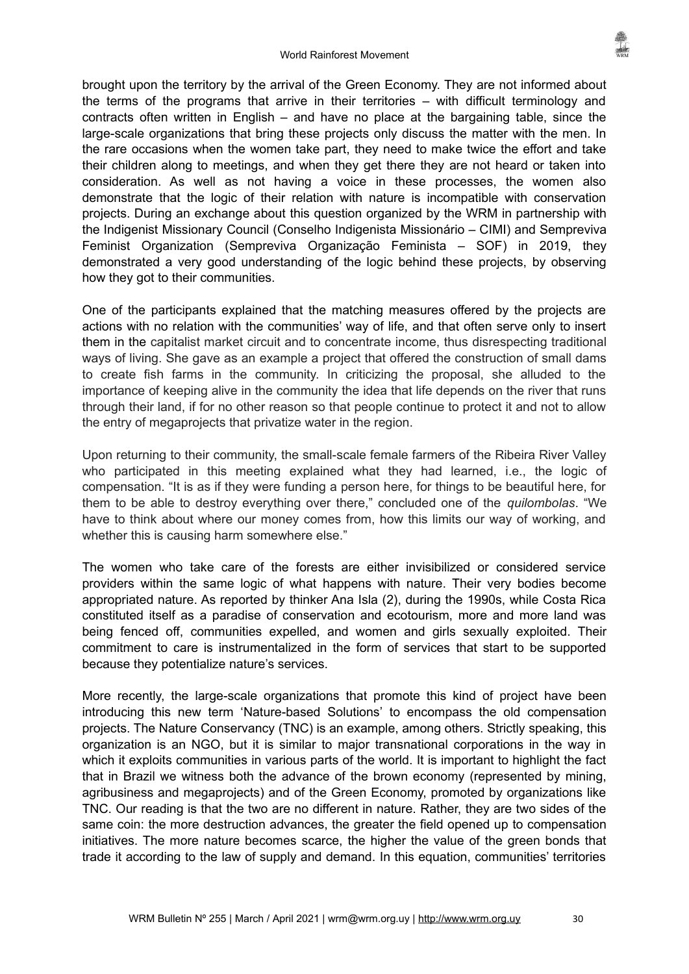brought upon the territory by the arrival of the Green Economy. They are not informed about the terms of the programs that arrive in their territories – with difficult terminology and contracts often written in English – and have no place at the bargaining table, since the large-scale organizations that bring these projects only discuss the matter with the men. In the rare occasions when the women take part, they need to make twice the effort and take their children along to meetings, and when they get there they are not heard or taken into consideration. As well as not having a voice in these processes, the women also demonstrate that the logic of their relation with nature is incompatible with conservation projects. During an exchange about this question organized by the WRM in partnership with the Indigenist Missionary Council (Conselho Indigenista Missionário – CIMI) and Sempreviva Feminist Organization (Sempreviva Organização Feminista – SOF) in 2019, they demonstrated a very good understanding of the logic behind these projects, by observing how they got to their communities.

One of the participants explained that the matching measures offered by the projects are actions with no relation with the communities' way of life, and that often serve only to insert them in the capitalist market circuit and to concentrate income, thus disrespecting traditional ways of living. She gave as an example a project that offered the construction of small dams to create fish farms in the community. In criticizing the proposal, she alluded to the importance of keeping alive in the community the idea that life depends on the river that runs through their land, if for no other reason so that people continue to protect it and not to allow the entry of megaprojects that privatize water in the region.

Upon returning to their community, the small-scale female farmers of the Ribeira River Valley who participated in this meeting explained what they had learned, i.e., the logic of compensation. "It is as if they were funding a person here, for things to be beautiful here, for them to be able to destroy everything over there," concluded one of the *quilombolas*. "We have to think about where our money comes from, how this limits our way of working, and whether this is causing harm somewhere else."

The women who take care of the forests are either invisibilized or considered service providers within the same logic of what happens with nature. Their very bodies become appropriated nature. As reported by thinker Ana Isla (2), during the 1990s, while Costa Rica constituted itself as a paradise of conservation and ecotourism, more and more land was being fenced off, communities expelled, and women and girls sexually exploited. Their commitment to care is instrumentalized in the form of services that start to be supported because they potentialize nature's services.

More recently, the large-scale organizations that promote this kind of project have been introducing this new term 'Nature-based Solutions' to encompass the old compensation projects. The Nature Conservancy (TNC) is an example, among others. Strictly speaking, this organization is an NGO, but it is similar to major transnational corporations in the way in which it exploits communities in various parts of the world. It is important to highlight the fact that in Brazil we witness both the advance of the brown economy (represented by mining, agribusiness and megaprojects) and of the Green Economy, promoted by organizations like TNC. Our reading is that the two are no different in nature. Rather, they are two sides of the same coin: the more destruction advances, the greater the field opened up to compensation initiatives. The more nature becomes scarce, the higher the value of the green bonds that trade it according to the law of supply and demand. In this equation, communities' territories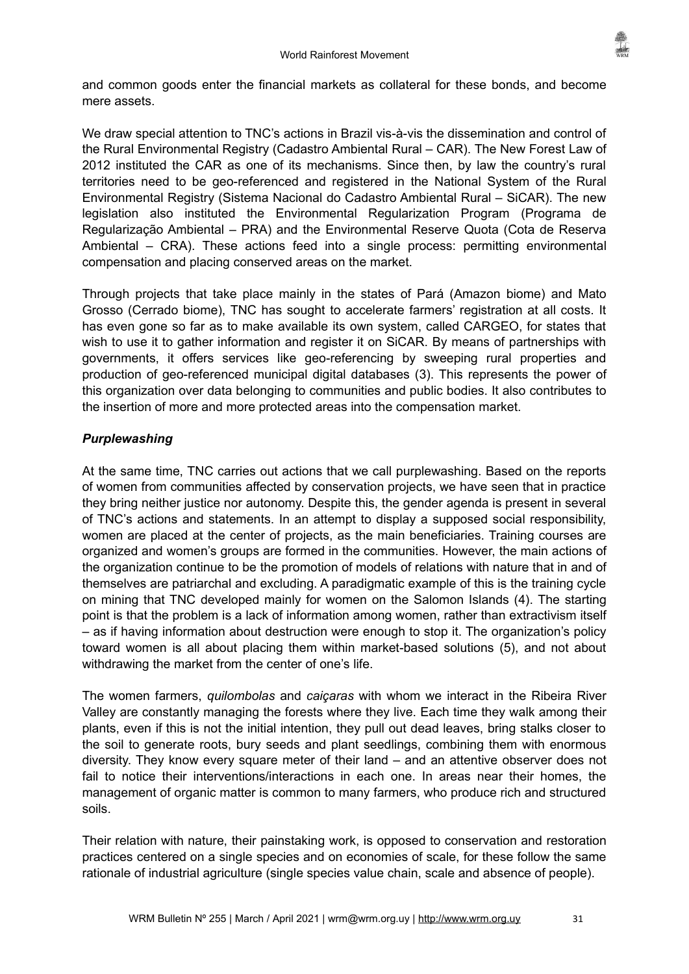

and common goods enter the financial markets as collateral for these bonds, and become mere assets.

We draw special attention to TNC's actions in Brazil vis-à-vis the dissemination and control of the Rural Environmental Registry (Cadastro Ambiental Rural – CAR). The New Forest Law of 2012 instituted the CAR as one of its mechanisms. Since then, by law the country's rural territories need to be geo-referenced and registered in the National System of the Rural Environmental Registry (Sistema Nacional do Cadastro Ambiental Rural – SiCAR). The new legislation also instituted the Environmental Regularization Program (Programa de Regularização Ambiental – PRA) and the Environmental Reserve Quota (Cota de Reserva Ambiental – CRA). These actions feed into a single process: permitting environmental compensation and placing conserved areas on the market.

Through projects that take place mainly in the states of Pará (Amazon biome) and Mato Grosso (Cerrado biome), TNC has sought to accelerate farmers' registration at all costs. It has even gone so far as to make available its own system, called CARGEO, for states that wish to use it to gather information and register it on SiCAR. By means of partnerships with governments, it offers services like geo-referencing by sweeping rural properties and production of geo-referenced municipal digital databases (3). This represents the power of this organization over data belonging to communities and public bodies. It also contributes to the insertion of more and more protected areas into the compensation market.

# *Purplewashing*

At the same time, TNC carries out actions that we call purplewashing. Based on the reports of women from communities affected by conservation projects, we have seen that in practice they bring neither justice nor autonomy. Despite this, the gender agenda is present in several of TNC's actions and statements. In an attempt to display a supposed social responsibility, women are placed at the center of projects, as the main beneficiaries. Training courses are organized and women's groups are formed in the communities. However, the main actions of the organization continue to be the promotion of models of relations with nature that in and of themselves are patriarchal and excluding. A paradigmatic example of this is the training cycle on mining that TNC developed mainly for women on the Salomon Islands (4). The starting point is that the problem is a lack of information among women, rather than extractivism itself – as if having information about destruction were enough to stop it. The organization's policy toward women is all about placing them within market-based solutions (5), and not about withdrawing the market from the center of one's life.

The women farmers, *quilombolas* and *caiçaras* with whom we interact in the Ribeira River Valley are constantly managing the forests where they live. Each time they walk among their plants, even if this is not the initial intention, they pull out dead leaves, bring stalks closer to the soil to generate roots, bury seeds and plant seedlings, combining them with enormous diversity. They know every square meter of their land – and an attentive observer does not fail to notice their interventions/interactions in each one. In areas near their homes, the management of organic matter is common to many farmers, who produce rich and structured soils.

Their relation with nature, their painstaking work, is opposed to conservation and restoration practices centered on a single species and on economies of scale, for these follow the same rationale of industrial agriculture (single species value chain, scale and absence of people).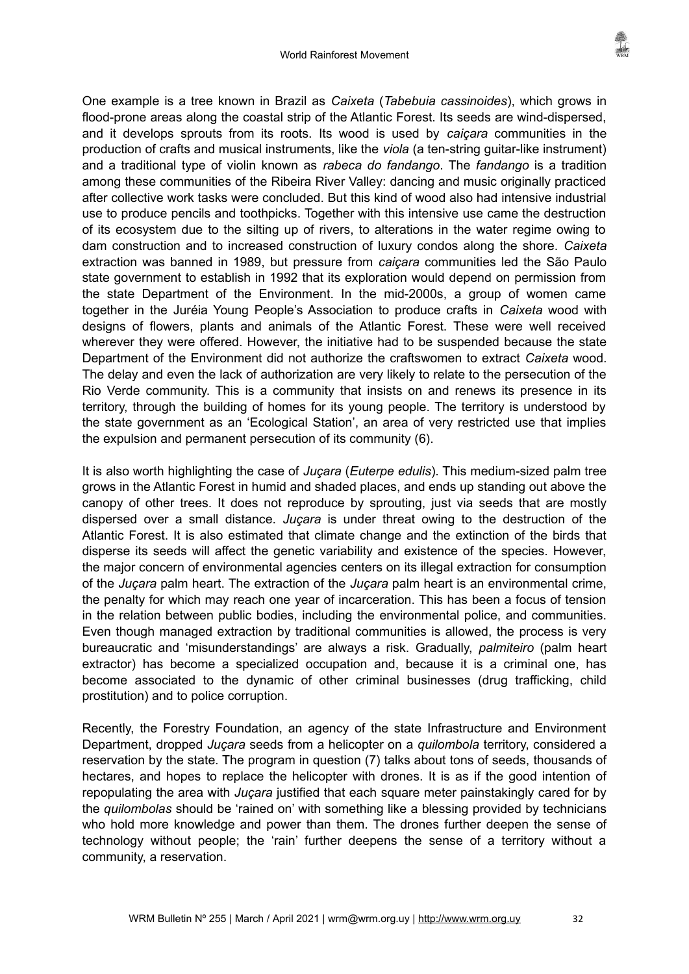One example is a tree known in Brazil as *Caixeta* (*Tabebuia cassinoides*), which grows in flood-prone areas along the coastal strip of the Atlantic Forest. Its seeds are wind-dispersed, and it develops sprouts from its roots. Its wood is used by *caiçara* communities in the production of crafts and musical instruments, like the *viola* (a ten-string guitar-like instrument) and a traditional type of violin known as *rabeca do fandango*. The *fandango* is a tradition among these communities of the Ribeira River Valley: dancing and music originally practiced after collective work tasks were concluded. But this kind of wood also had intensive industrial use to produce pencils and toothpicks. Together with this intensive use came the destruction of its ecosystem due to the silting up of rivers, to alterations in the water regime owing to dam construction and to increased construction of luxury condos along the shore. *Caixeta* extraction was banned in 1989, but pressure from *caiçara* communities led the São Paulo state government to establish in 1992 that its exploration would depend on permission from the state Department of the Environment. In the mid-2000s, a group of women came together in the Juréia Young People's Association to produce crafts in *Caixeta* wood with designs of flowers, plants and animals of the Atlantic Forest. These were well received wherever they were offered. However, the initiative had to be suspended because the state Department of the Environment did not authorize the craftswomen to extract *Caixeta* wood. The delay and even the lack of authorization are very likely to relate to the persecution of the Rio Verde community. This is a community that insists on and renews its presence in its territory, through the building of homes for its young people. The territory is understood by the state government as an 'Ecological Station', an area of very restricted use that implies the expulsion and permanent persecution of its community (6).

It is also worth highlighting the case of *Juçara* (*Euterpe edulis*). This medium-sized palm tree grows in the Atlantic Forest in humid and shaded places, and ends up standing out above the canopy of other trees. It does not reproduce by sprouting, just via seeds that are mostly dispersed over a small distance. *Juçara* is under threat owing to the destruction of the Atlantic Forest. It is also estimated that climate change and the extinction of the birds that disperse its seeds will affect the genetic variability and existence of the species. However, the major concern of environmental agencies centers on its illegal extraction for consumption of the *Juçara* palm heart. The extraction of the *Juçara* palm heart is an environmental crime, the penalty for which may reach one year of incarceration. This has been a focus of tension in the relation between public bodies, including the environmental police, and communities. Even though managed extraction by traditional communities is allowed, the process is very bureaucratic and 'misunderstandings' are always a risk. Gradually, *palmiteiro* (palm heart extractor) has become a specialized occupation and, because it is a criminal one, has become associated to the dynamic of other criminal businesses (drug trafficking, child prostitution) and to police corruption.

Recently, the Forestry Foundation, an agency of the state Infrastructure and Environment Department, dropped *Juçara* seeds from a helicopter on a *quilombola* territory, considered a reservation by the state. The program in question (7) talks about tons of seeds, thousands of hectares, and hopes to replace the helicopter with drones. It is as if the good intention of repopulating the area with *Juçara* justified that each square meter painstakingly cared for by the *quilombolas* should be 'rained on' with something like a blessing provided by technicians who hold more knowledge and power than them. The drones further deepen the sense of technology without people; the 'rain' further deepens the sense of a territory without a community, a reservation.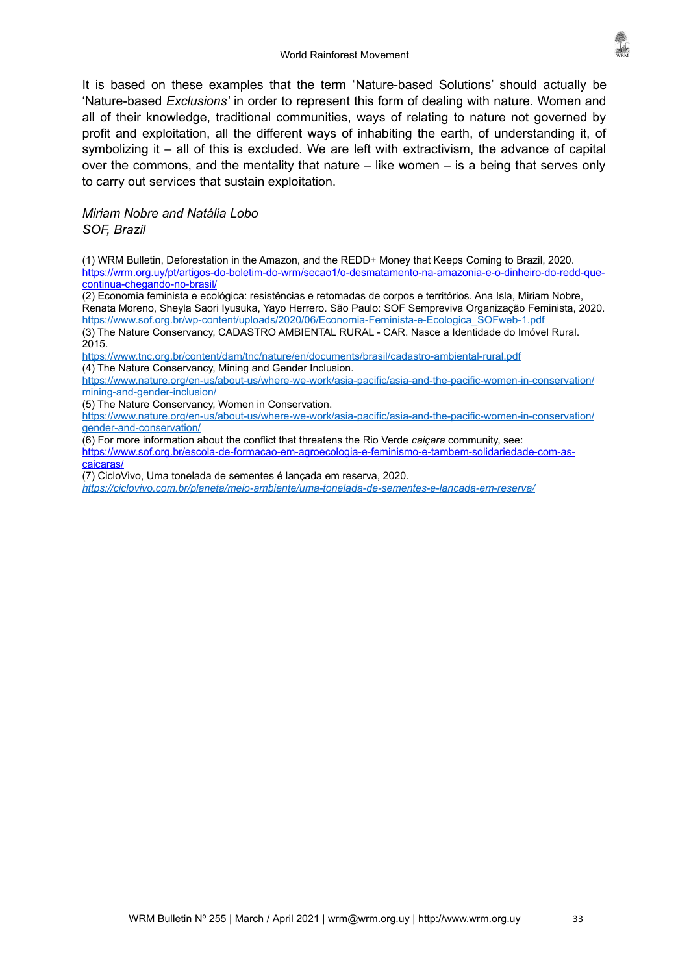It is based on these examples that the term 'Nature-based Solutions' should actually be 'Nature-based *Exclusions'* in order to represent this form of dealing with nature. Women and all of their knowledge, traditional communities, ways of relating to nature not governed by profit and exploitation, all the different ways of inhabiting the earth, of understanding it, of symbolizing it – all of this is excluded. We are left with extractivism, the advance of capital over the commons, and the mentality that nature  $-$  like women  $-$  is a being that serves only to carry out services that sustain exploitation.

# *Miriam Nobre and Natália Lobo*

*SOF, Brazil*

(1) WRM Bulletin, Deforestation in the Amazon, and the REDD+ Money that Keeps Coming to Brazil, 2020. [https://wrm.org.uy/pt/artigos-do-boletim-do-wrm/secao1/o-desmatamento-na-amazonia-e-o-dinheiro-do-redd-que](https://wrm.org.uy/pt/artigos-do-boletim-do-wrm/secao1/o-desmatamento-na-amazonia-e-o-dinheiro-do-redd-que-continua-chegando-no-brasil/)[continua-chegando-no-brasil/](https://wrm.org.uy/pt/artigos-do-boletim-do-wrm/secao1/o-desmatamento-na-amazonia-e-o-dinheiro-do-redd-que-continua-chegando-no-brasil/)

(2) Economia feminista e ecológica: resistências e retomadas de corpos e territórios. Ana Isla, Miriam Nobre, Renata Moreno, Sheyla Saori Iyusuka, Yayo Herrero. São Paulo: SOF Sempreviva Organização Feminista, 2020. [https://www.sof.org.br/wp-content/uploads/2020/06/Economia-Feminista-e-Ecologica\\_SOFweb-1.pdf](https://www.sof.org.br/wp-content/uploads/2020/06/Economia-Feminista-e-Ecologica_SOFweb-1.pdf)

(3) The Nature Conservancy, CADASTRO AMBIENTAL RURAL - CAR. Nasce a Identidade do Imóvel Rural. 2015.

<https://www.tnc.org.br/content/dam/tnc/nature/en/documents/brasil/cadastro-ambiental-rural.pdf> (4) The Nature Conservancy, Mining and Gender Inclusion.

[https://www.nature.org/en-us/about-us/where-we-work/asia-pacific/asia-and-the-pacific-women-in-conservation/](https://www.nature.org/en-us/about-us/where-we-work/asia-pacific/asia-and-the-pacific-women-in-conservation/mining-and-gender-inclusion/) [mining-and-gender-inclusion/](https://www.nature.org/en-us/about-us/where-we-work/asia-pacific/asia-and-the-pacific-women-in-conservation/mining-and-gender-inclusion/)

(5) The Nature Conservancy, Women in Conservation.

[https://www.nature.org/en-us/about-us/where-we-work/asia-pacific/asia-and-the-pacific-women-in-conservation/](https://www.nature.org/en-us/about-us/where-we-work/asia-pacific/asia-and-the-pacific-women-in-conservation/gender-and-conservation/) [gender-and-conservation/](https://www.nature.org/en-us/about-us/where-we-work/asia-pacific/asia-and-the-pacific-women-in-conservation/gender-and-conservation/)

(6) For more information about the conflict that threatens the Rio Verde *caiçara* community, see: [https://www.sof.org.br/escola-de-formacao-em-agroecologia-e-feminismo-e-tambem-solidariedade-com-as](https://www.sof.org.br/escola-de-formacao-em-agroecologia-e-feminismo-e-tambem-solidariedade-com-as-caicaras/)[caicaras/](https://www.sof.org.br/escola-de-formacao-em-agroecologia-e-feminismo-e-tambem-solidariedade-com-as-caicaras/)

(7) CicloVivo, Uma tonelada de sementes é lançada em reserva, 2020.

*<https://ciclovivo.com.br/planeta/meio-ambiente/uma-tonelada-de-sementes-e-lancada-em-reserva/>*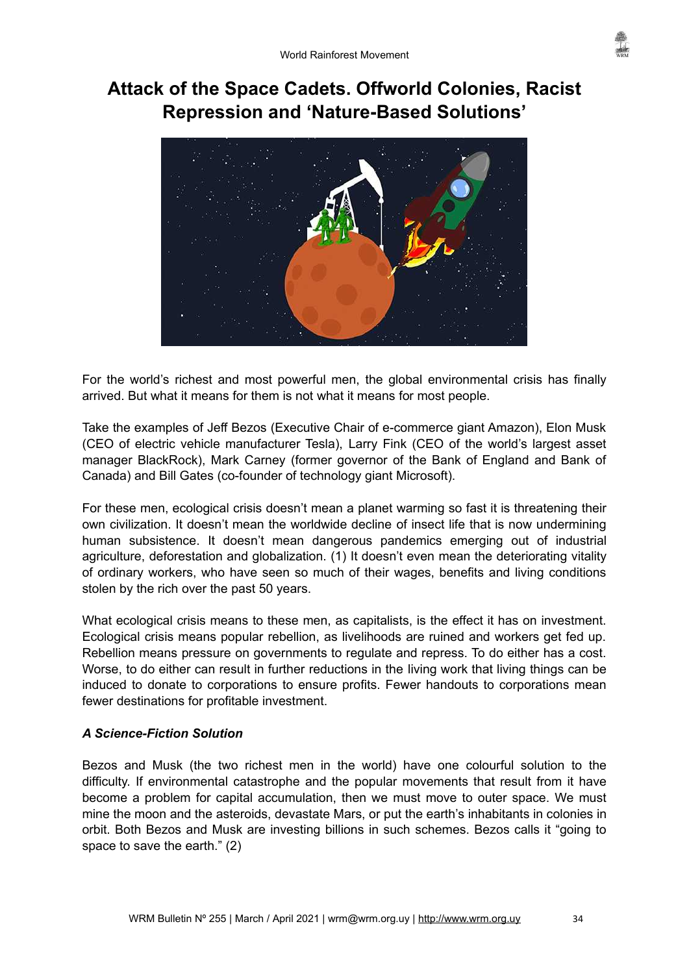# <span id="page-33-0"></span>**Attack of the Space Cadets. Offworld Colonies, Racist Repression and 'Nature-Based Solutions'**



For the world's richest and most powerful men, the global environmental crisis has finally arrived. But what it means for them is not what it means for most people.

Take the examples of Jeff Bezos (Executive Chair of e-commerce giant Amazon), Elon Musk (CEO of electric vehicle manufacturer Tesla), Larry Fink (CEO of the world's largest asset manager BlackRock), Mark Carney (former governor of the Bank of England and Bank of Canada) and Bill Gates (co-founder of technology giant Microsoft).

For these men, ecological crisis doesn't mean a planet warming so fast it is threatening their own civilization. It doesn't mean the worldwide decline of insect life that is now undermining human subsistence. It doesn't mean dangerous pandemics emerging out of industrial agriculture, deforestation and globalization. (1) It doesn't even mean the deteriorating vitality of ordinary workers, who have seen so much of their wages, benefits and living conditions stolen by the rich over the past 50 years.

What ecological crisis means to these men, as capitalists, is the effect it has on investment. Ecological crisis means popular rebellion, as livelihoods are ruined and workers get fed up. Rebellion means pressure on governments to regulate and repress. To do either has a cost. Worse, to do either can result in further reductions in the living work that living things can be induced to donate to corporations to ensure profits. Fewer handouts to corporations mean fewer destinations for profitable investment.

# *A Science-Fiction Solution*

Bezos and Musk (the two richest men in the world) have one colourful solution to the difficulty. If environmental catastrophe and the popular movements that result from it have become a problem for capital accumulation, then we must move to outer space. We must mine the moon and the asteroids, devastate Mars, or put the earth's inhabitants in colonies in orbit. Both Bezos and Musk are investing billions in such schemes. Bezos calls it "going to space to save the earth." (2)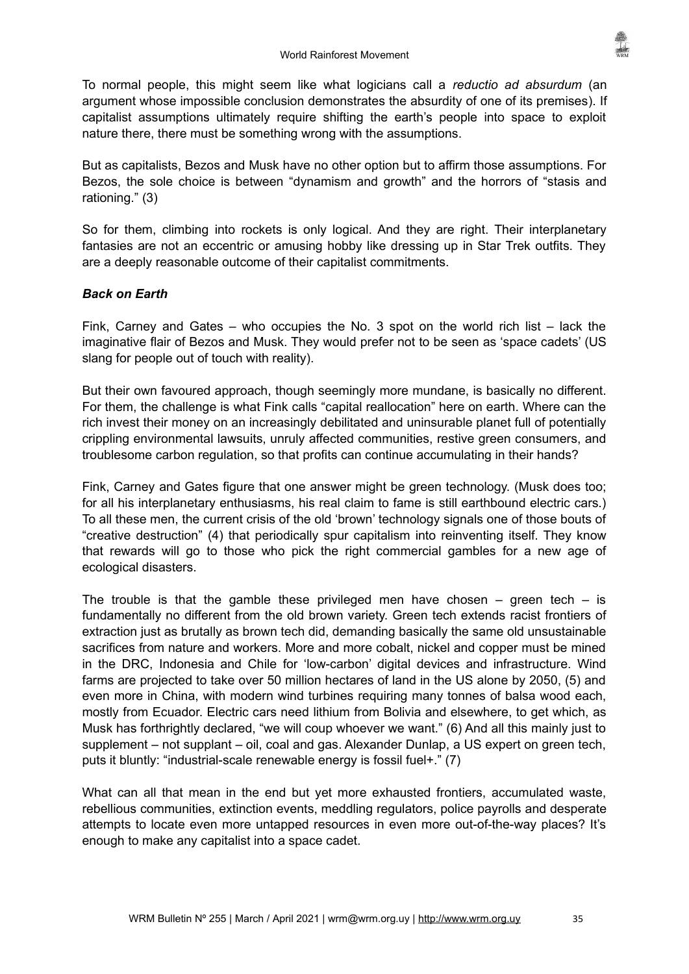To normal people, this might seem like what logicians call a *reductio ad absurdum* (an argument whose impossible conclusion demonstrates the absurdity of one of its premises). If capitalist assumptions ultimately require shifting the earth's people into space to exploit nature there, there must be something wrong with the assumptions.

But as capitalists, Bezos and Musk have no other option but to affirm those assumptions. For Bezos, the sole choice is between "dynamism and growth" and the horrors of "stasis and rationing." (3)

So for them, climbing into rockets is only logical. And they are right. Their interplanetary fantasies are not an eccentric or amusing hobby like dressing up in Star Trek outfits. They are a deeply reasonable outcome of their capitalist commitments.

# *Back on Earth*

Fink, Carney and Gates – who occupies the No. 3 spot on the world rich list – lack the imaginative flair of Bezos and Musk. They would prefer not to be seen as 'space cadets' (US slang for people out of touch with reality).

But their own favoured approach, though seemingly more mundane, is basically no different. For them, the challenge is what Fink calls "capital reallocation" here on earth. Where can the rich invest their money on an increasingly debilitated and uninsurable planet full of potentially crippling environmental lawsuits, unruly affected communities, restive green consumers, and troublesome carbon regulation, so that profits can continue accumulating in their hands?

Fink, Carney and Gates figure that one answer might be green technology. (Musk does too; for all his interplanetary enthusiasms, his real claim to fame is still earthbound electric cars.) To all these men, the current crisis of the old 'brown' technology signals one of those bouts of "creative destruction" (4) that periodically spur capitalism into reinventing itself. They know that rewards will go to those who pick the right commercial gambles for a new age of ecological disasters.

The trouble is that the gamble these privileged men have chosen – green tech – is fundamentally no different from the old brown variety. Green tech extends racist frontiers of extraction just as brutally as brown tech did, demanding basically the same old unsustainable sacrifices from nature and workers. More and more cobalt, nickel and copper must be mined in the DRC, Indonesia and Chile for 'low-carbon' digital devices and infrastructure. Wind farms are projected to take over 50 million hectares of land in the US alone by 2050, (5) and even more in China, with modern wind turbines requiring many tonnes of balsa wood each, mostly from Ecuador. Electric cars need lithium from Bolivia and elsewhere, to get which, as Musk has forthrightly declared, "we will coup whoever we want." (6) And all this mainly just to supplement – not supplant – oil, coal and gas. Alexander Dunlap, a US expert on green tech, puts it bluntly: "industrial-scale renewable energy is fossil fuel+." (7)

What can all that mean in the end but yet more exhausted frontiers, accumulated waste, rebellious communities, extinction events, meddling regulators, police payrolls and desperate attempts to locate even more untapped resources in even more out-of-the-way places? It's enough to make any capitalist into a space cadet.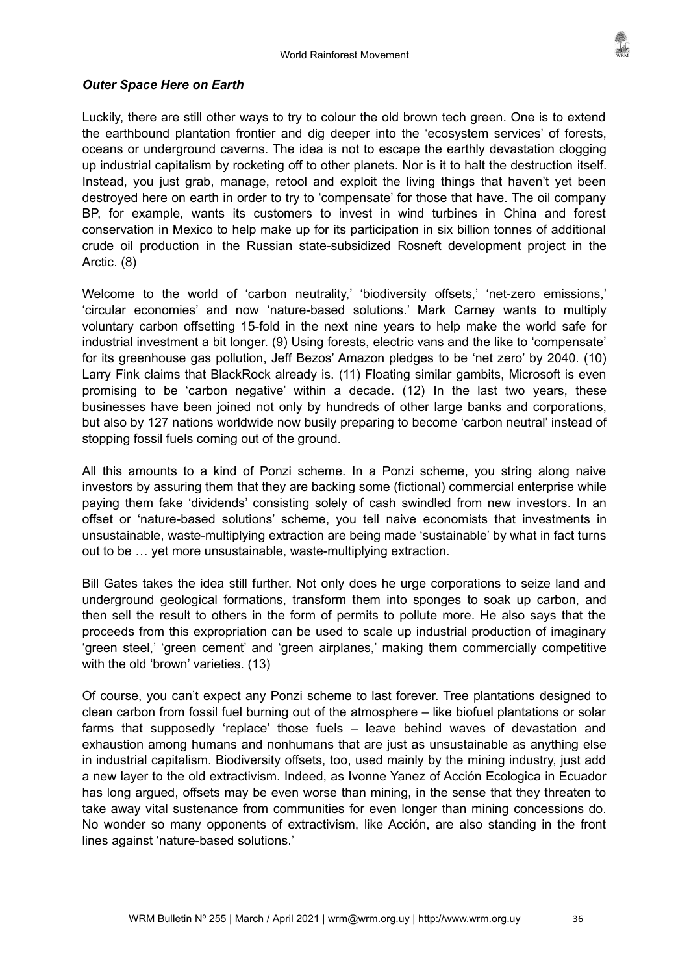

#### *Outer Space Here on Earth*

Luckily, there are still other ways to try to colour the old brown tech green. One is to extend the earthbound plantation frontier and dig deeper into the 'ecosystem services' of forests, oceans or underground caverns. The idea is not to escape the earthly devastation clogging up industrial capitalism by rocketing off to other planets. Nor is it to halt the destruction itself. Instead, you just grab, manage, retool and exploit the living things that haven't yet been destroyed here on earth in order to try to 'compensate' for those that have. The oil company BP, for example, wants its customers to invest in wind turbines in China and forest conservation in Mexico to help make up for its participation in six billion tonnes of additional crude oil production in the Russian state-subsidized Rosneft development project in the Arctic. (8)

Welcome to the world of 'carbon neutrality,' 'biodiversity offsets,' 'net-zero emissions,' 'circular economies' and now 'nature-based solutions.' Mark Carney wants to multiply voluntary carbon offsetting 15-fold in the next nine years to help make the world safe for industrial investment a bit longer. (9) Using forests, electric vans and the like to 'compensate' for its greenhouse gas pollution, Jeff Bezos' Amazon pledges to be 'net zero' by 2040. (10) Larry Fink claims that BlackRock already is. (11) Floating similar gambits, Microsoft is even promising to be 'carbon negative' within a decade. (12) In the last two years, these businesses have been joined not only by hundreds of other large banks and corporations, but also by 127 nations worldwide now busily preparing to become 'carbon neutral' instead of stopping fossil fuels coming out of the ground.

All this amounts to a kind of Ponzi scheme. In a Ponzi scheme, you string along naive investors by assuring them that they are backing some (fictional) commercial enterprise while paying them fake 'dividends' consisting solely of cash swindled from new investors. In an offset or 'nature-based solutions' scheme, you tell naive economists that investments in unsustainable, waste-multiplying extraction are being made 'sustainable' by what in fact turns out to be … yet more unsustainable, waste-multiplying extraction.

Bill Gates takes the idea still further. Not only does he urge corporations to seize land and underground geological formations, transform them into sponges to soak up carbon, and then sell the result to others in the form of permits to pollute more. He also says that the proceeds from this expropriation can be used to scale up industrial production of imaginary 'green steel,' 'green cement' and 'green airplanes,' making them commercially competitive with the old 'brown' varieties. (13)

Of course, you can't expect any Ponzi scheme to last forever. Tree plantations designed to clean carbon from fossil fuel burning out of the atmosphere – like biofuel plantations or solar farms that supposedly 'replace' those fuels – leave behind waves of devastation and exhaustion among humans and nonhumans that are just as unsustainable as anything else in industrial capitalism. Biodiversity offsets, too, used mainly by the mining industry, just add a new layer to the old extractivism. Indeed, as Ivonne Yanez of Acciόn Ecologica in Ecuador has long argued, offsets may be even worse than mining, in the sense that they threaten to take away vital sustenance from communities for even longer than mining concessions do. No wonder so many opponents of extractivism, like Acciόn, are also standing in the front lines against 'nature-based solutions.'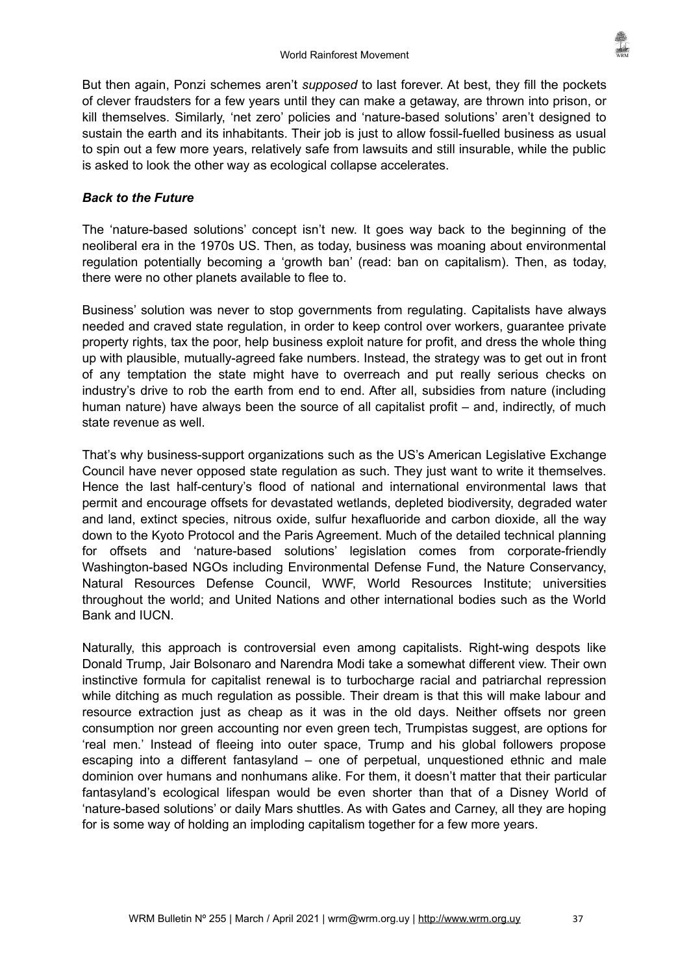But then again, Ponzi schemes aren't *supposed* to last forever. At best, they fill the pockets of clever fraudsters for a few years until they can make a getaway, are thrown into prison, or kill themselves. Similarly, 'net zero' policies and 'nature-based solutions' aren't designed to sustain the earth and its inhabitants. Their job is just to allow fossil-fuelled business as usual to spin out a few more years, relatively safe from lawsuits and still insurable, while the public is asked to look the other way as ecological collapse accelerates.

# *Back to the Future*

The 'nature-based solutions' concept isn't new. It goes way back to the beginning of the neoliberal era in the 1970s US. Then, as today, business was moaning about environmental regulation potentially becoming a 'growth ban' (read: ban on capitalism). Then, as today, there were no other planets available to flee to.

Business' solution was never to stop governments from regulating. Capitalists have always needed and craved state regulation, in order to keep control over workers, guarantee private property rights, tax the poor, help business exploit nature for profit, and dress the whole thing up with plausible, mutually-agreed fake numbers. Instead, the strategy was to get out in front of any temptation the state might have to overreach and put really serious checks on industry's drive to rob the earth from end to end. After all, subsidies from nature (including human nature) have always been the source of all capitalist profit – and, indirectly, of much state revenue as well.

That's why business-support organizations such as the US's American Legislative Exchange Council have never opposed state regulation as such. They just want to write it themselves. Hence the last half-century's flood of national and international environmental laws that permit and encourage offsets for devastated wetlands, depleted biodiversity, degraded water and land, extinct species, nitrous oxide, sulfur hexafluoride and carbon dioxide, all the way down to the Kyoto Protocol and the Paris Agreement. Much of the detailed technical planning for offsets and 'nature-based solutions' legislation comes from corporate-friendly Washington-based NGOs including Environmental Defense Fund, the Nature Conservancy, Natural Resources Defense Council, WWF, World Resources Institute; universities throughout the world; and United Nations and other international bodies such as the World Bank and IUCN.

Naturally, this approach is controversial even among capitalists. Right-wing despots like Donald Trump, Jair Bolsonaro and Narendra Modi take a somewhat different view. Their own instinctive formula for capitalist renewal is to turbocharge racial and patriarchal repression while ditching as much regulation as possible. Their dream is that this will make labour and resource extraction just as cheap as it was in the old days. Neither offsets nor green consumption nor green accounting nor even green tech, Trumpistas suggest, are options for 'real men.' Instead of fleeing into outer space, Trump and his global followers propose escaping into a different fantasyland – one of perpetual, unquestioned ethnic and male dominion over humans and nonhumans alike. For them, it doesn't matter that their particular fantasyland's ecological lifespan would be even shorter than that of a Disney World of 'nature-based solutions' or daily Mars shuttles. As with Gates and Carney, all they are hoping for is some way of holding an imploding capitalism together for a few more years.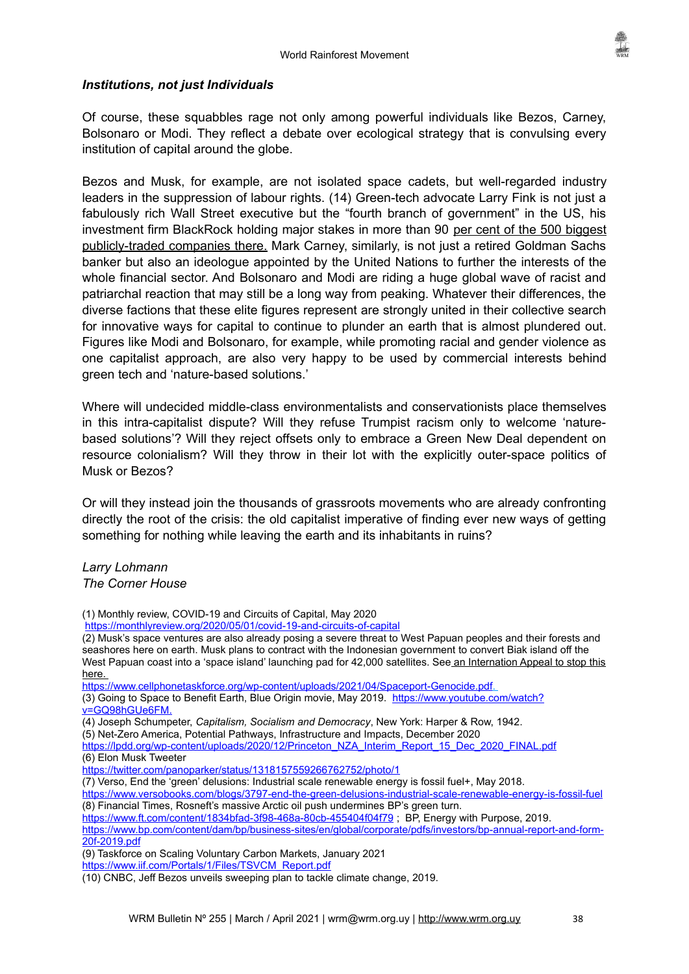

#### *Institutions, not just Individuals*

Of course, these squabbles rage not only among powerful individuals like Bezos, Carney, Bolsonaro or Modi. They reflect a debate over ecological strategy that is convulsing every institution of capital around the globe.

Bezos and Musk, for example, are not isolated space cadets, but well-regarded industry leaders in the suppression of labour rights. (14) Green-tech advocate Larry Fink is not just a fabulously rich Wall Street executive but the "fourth branch of government" in the US, his investment firm BlackRock holding major stakes in more than 90 per cent of the 500 biggest publicly-traded companies there. Mark Carney, similarly, is not just a retired Goldman Sachs banker but also an ideologue appointed by the United Nations to further the interests of the whole financial sector. And Bolsonaro and Modi are riding a huge global wave of racist and patriarchal reaction that may still be a long way from peaking. Whatever their differences, the diverse factions that these elite figures represent are strongly united in their collective search for innovative ways for capital to continue to plunder an earth that is almost plundered out. Figures like Modi and Bolsonaro, for example, while promoting racial and gender violence as one capitalist approach, are also very happy to be used by commercial interests behind green tech and 'nature-based solutions.'

Where will undecided middle-class environmentalists and conservationists place themselves in this intra-capitalist dispute? Will they refuse Trumpist racism only to welcome 'naturebased solutions'? Will they reject offsets only to embrace a Green New Deal dependent on resource colonialism? Will they throw in their lot with the explicitly outer-space politics of Musk or Bezos?

Or will they instead join the thousands of grassroots movements who are already confronting directly the root of the crisis: the old capitalist imperative of finding ever new ways of getting something for nothing while leaving the earth and its inhabitants in ruins?

#### *Larry Lohmann The Corner House*

(9) Taskforce on Scaling Voluntary Carbon Markets, January 2021

<sup>(1)</sup> Monthly review, COVID-19 and Circuits of Capital, May 2020

<https://monthlyreview.org/2020/05/01/covid-19-and-circuits-of-capital>

<sup>(2)</sup> Musk's space ventures are also already posing a severe threat to West Papuan peoples and their forests and seashores here on earth. Musk plans to contract with the Indonesian government to convert Biak island off the West Papuan coast into a 'space island' launching pad for 42,000 satellites. See an Internation Appeal to stop this here.

https://www.cellphonetaskforce.org/wp-content/uploads/2021/04/Spaceport-Genocide.pdf.

<sup>(3)</sup> Going to Space to Benefit Earth, Blue Origin movie, May 2019. [https://www.youtube.com/watch?](https://www.youtube.com/watch?v=GQ98hGUe6FM)  [v=GQ98hGUe6FM](https://www.youtube.com/watch?v=GQ98hGUe6FM).

<sup>(4)</sup> Joseph Schumpeter, *Capitalism, Socialism and Democracy*, New York: Harper & Row, 1942.

<sup>(5)</sup> Net-Zero America, Potential Pathways, Infrastructure and Impacts, December 2020

[https://lpdd.org/wp-content/uploads/2020/12/Princeton\\_NZA\\_Interim\\_Report\\_15\\_Dec\\_2020\\_FINAL.pdf](https://lpdd.org/wp-content/uploads/2020/12/Princeton_NZA_Interim_Report_15_Dec_2020_FINAL.pdf) (6) Elon Musk Tweeter

<https://twitter.com/panoparker/status/1318157559266762752/photo/1>

<sup>(7)</sup> Verso, End the 'green' delusions: Industrial scale renewable energy is fossil fuel+, May 2018.

<https://www.versobooks.com/blogs/3797-end-the-green-delusions-industrial-scale-renewable-energy-is-fossil-fuel> (8) Financial Times, Rosneft's massive Arctic oil push undermines BP's green turn.

<https://www.ft.com/content/1834bfad-3f98-468a-80cb-455404f04f79> ; BP, Energy with Purpose, 2019.

[https://www.bp.com/content/dam/bp/business-sites/en/global/corporate/pdfs/investors/bp-annual-report-and-form-](https://www.bp.com/content/dam/bp/business-sites/en/global/corporate/pdfs/investors/bp-annual-report-and-form-20f-2019.pdf)[20f-2019.pdf](https://www.bp.com/content/dam/bp/business-sites/en/global/corporate/pdfs/investors/bp-annual-report-and-form-20f-2019.pdf)

[https://www.iif.com/Portals/1/Files/TSVCM\\_Report.pdf](https://www.iif.com/Portals/1/Files/TSVCM_Report.pdf)

<sup>(10)</sup> CNBC, Jeff Bezos unveils sweeping plan to tackle climate change, 2019.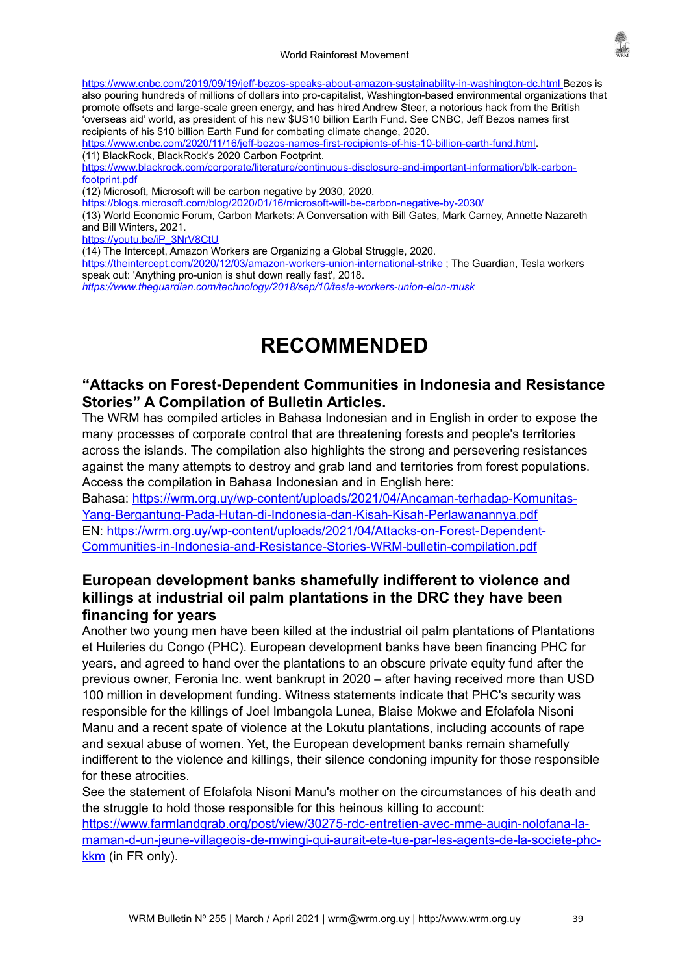

<https://www.cnbc.com/2019/09/19/jeff-bezos-speaks-about-amazon-sustainability-in-washington-dc.html> Bezos is also pouring hundreds of millions of dollars into pro-capitalist, Washington-based environmental organizations that promote offsets and large-scale green energy, and has hired Andrew Steer, a notorious hack from the British 'overseas aid' world, as president of his new \$US10 billion Earth Fund. See CNBC, Jeff Bezos names first recipients of his \$10 billion Earth Fund for combating climate change, 2020.

<https://www.cnbc.com/2020/11/16/jeff-bezos-names-first-recipients-of-his-10-billion-earth-fund.html>. (11) BlackRock, BlackRock's 2020 Carbon Footprint.

[https://www.blackrock.com/corporate/literature/continuous-disclosure-and-important-information/blk-carbon](https://www.blackrock.com/corporate/literature/continuous-disclosure-and-important-information/blk-carbon-footprint.pdf)[footprint.pdf](https://www.blackrock.com/corporate/literature/continuous-disclosure-and-important-information/blk-carbon-footprint.pdf)

(12) Microsoft, Microsoft will be carbon negative by 2030, 2020.

<https://blogs.microsoft.com/blog/2020/01/16/microsoft-will-be-carbon-negative-by-2030/>

(13) World Economic Forum, Carbon Markets: A Conversation with Bill Gates, Mark Carney, Annette Nazareth and Bill Winters, 2021.

[https://youtu.be/iP\\_3NrV8CtU](https://youtu.be/iP_3NrV8CtU)

(14) The Intercept, Amazon Workers are Organizing a Global Struggle, 2020.

[https://theintercept.com/2020/12/03/amazon-workers-union-international-strike](https://theintercept.com/2020/12/03/amazon-workers-union-international-strike/) ; The Guardian, Tesla workers speak out: 'Anything pro-union is shut down really fast', 2018.

*<https://www.theguardian.com/technology/2018/sep/10/tesla-workers-union-elon-musk>*

# <span id="page-38-2"></span>**RECOMMENDED**

# <span id="page-38-1"></span>**"Attacks on Forest-Dependent Communities in Indonesia and Resistance Stories" A Compilation of Bulletin Articles.**

The WRM has compiled articles in Bahasa Indonesian and in English in order to expose the many processes of corporate control that are threatening forests and people's territories across the islands. The compilation also highlights the strong and persevering resistances against the many attempts to destroy and grab land and territories from forest populations. Access the compilation in Bahasa Indonesian and in English here:

Bahasa: [https://wrm.org.uy/wp-content/uploads/2021/04/Ancaman-terhadap-Komunitas-](https://wrm.org.uy/wp-content/uploads/2021/04/Ancaman-terhadap-Komunitas-Yang-Bergantung-Pada-Hutan-di-Indonesia-dan-Kisah-Kisah-Perlawanannya.pdf)[Yang-Bergantung-Pada-Hutan-di-Indonesia-dan-Kisah-Kisah-Perlawanannya.pdf](https://wrm.org.uy/wp-content/uploads/2021/04/Ancaman-terhadap-Komunitas-Yang-Bergantung-Pada-Hutan-di-Indonesia-dan-Kisah-Kisah-Perlawanannya.pdf) EN: [https://wrm.org.uy/wp-content/uploads/2021/04/Attacks-on-Forest-Dependent-](https://wrm.org.uy/wp-content/uploads/2021/04/Attacks-on-Forest-Dependent-Communities-in-Indonesia-and-Resistance-Stories-WRM-bulletin-compilation.pdf)[Communities-in-Indonesia-and-Resistance-Stories-WRM-bulletin-compilation.pdf](https://wrm.org.uy/wp-content/uploads/2021/04/Attacks-on-Forest-Dependent-Communities-in-Indonesia-and-Resistance-Stories-WRM-bulletin-compilation.pdf)

# <span id="page-38-0"></span>**European development banks shamefully indifferent to violence and killings at industrial oil palm plantations in the DRC they have been financing for years**

Another two young men have been killed at the industrial oil palm plantations of Plantations et Huileries du Congo (PHC). European development banks have been financing PHC for years, and agreed to hand over the plantations to an obscure private equity fund after the previous owner, Feronia Inc. went bankrupt in 2020 – after having received more than USD 100 million in development funding. Witness statements indicate that PHC's security was responsible for the killings of Joel Imbangola Lunea, Blaise Mokwe and Efolafola Nisoni Manu and a recent spate of violence at the Lokutu plantations, including accounts of rape and sexual abuse of women. Yet, the European development banks remain shamefully indifferent to the violence and killings, their silence condoning impunity for those responsible for these atrocities.

See the statement of Efolafola Nisoni Manu's mother on the circumstances of his death and the struggle to hold those responsible for this heinous killing to account:

[https://www.farmlandgrab.org/post/view/30275-rdc-entretien-avec-mme-augin-nolofana-la](https://www.farmlandgrab.org/post/view/30275-rdc-entretien-avec-mme-augin-nolofana-la-maman-d-un-jeune-villageois-de-mwingi-qui-aurait-ete-tue-par-les-agents-de-la-societe-phc-kkm)[maman-d-un-jeune-villageois-de-mwingi-qui-aurait-ete-tue-par-les-agents-de-la-societe-phc](https://www.farmlandgrab.org/post/view/30275-rdc-entretien-avec-mme-augin-nolofana-la-maman-d-un-jeune-villageois-de-mwingi-qui-aurait-ete-tue-par-les-agents-de-la-societe-phc-kkm)[kkm](https://www.farmlandgrab.org/post/view/30275-rdc-entretien-avec-mme-augin-nolofana-la-maman-d-un-jeune-villageois-de-mwingi-qui-aurait-ete-tue-par-les-agents-de-la-societe-phc-kkm) (in FR only).